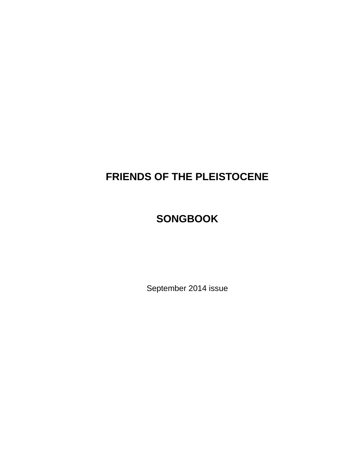# **FRIENDS OF THE PLEISTOCENE**

# **SONGBOOK**

September 2014 issue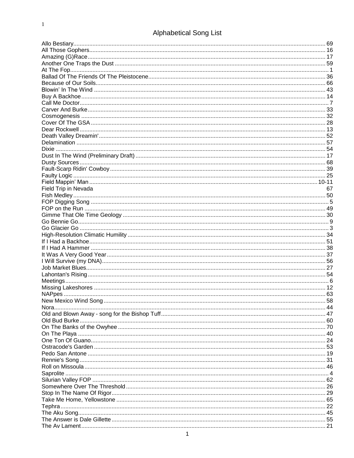# Alphabetical Song List

| Field Trip in Nevada  | 67 |
|-----------------------|----|
|                       |    |
|                       |    |
|                       |    |
|                       |    |
|                       |    |
|                       |    |
|                       |    |
|                       |    |
|                       |    |
|                       |    |
|                       |    |
|                       |    |
|                       |    |
|                       |    |
|                       |    |
|                       |    |
| New Mexico Wind Song. | 58 |
|                       |    |
|                       |    |
|                       |    |
|                       |    |
|                       |    |
|                       |    |
|                       |    |
|                       |    |
|                       |    |
|                       |    |
|                       |    |
|                       |    |
|                       |    |
|                       |    |
|                       |    |
|                       |    |
|                       |    |
|                       |    |
|                       |    |
|                       |    |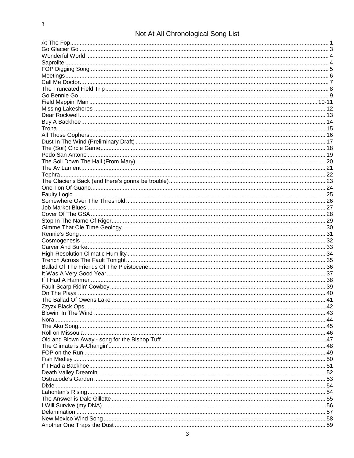# Not At All Chronological Song List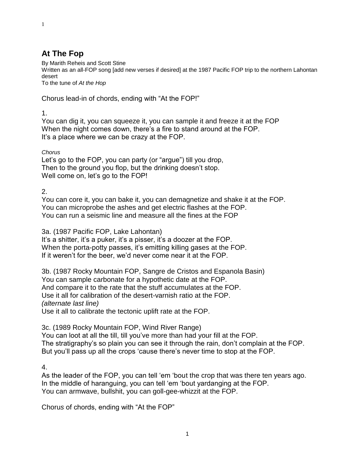# **At The Fop**

By Marith Reheis and Scott Stine

Written as an all-FOP song [add new verses if desired] at the 1987 Pacific FOP trip to the northern Lahontan desert

To the tune of *At the Hop*

Chorus lead-in of chords, ending with "At the FOP!"

1.

1

You can dig it, you can squeeze it, you can sample it and freeze it at the FOP When the night comes down, there's a fire to stand around at the FOP. It's a place where we can be crazy at the FOP.

*Chorus*

Let's go to the FOP, you can party (or "argue") till you drop, Then to the ground you flop, but the drinking doesn't stop. Well come on, let's go to the FOP!

2.

You can core it, you can bake it, you can demagnetize and shake it at the FOP. You can microprobe the ashes and get electric flashes at the FOP. You can run a seismic line and measure all the fines at the FOP

3a. (1987 Pacific FOP, Lake Lahontan)

It's a shitter, it's a puker, it's a pisser, it's a doozer at the FOP. When the porta-potty passes, it's emitting killing gases at the FOP. If it weren't for the beer, we'd never come near it at the FOP.

3b. (1987 Rocky Mountain FOP, Sangre de Cristos and Espanola Basin) You can sample carbonate for a hypothetic date at the FOP. And compare it to the rate that the stuff accumulates at the FOP. Use it all for calibration of the desert-varnish ratio at the FOP. *(alternate last line)* Use it all to calibrate the tectonic uplift rate at the FOP.

3c. (1989 Rocky Mountain FOP, Wind River Range)

You can loot at all the till, till you've more than had your fill at the FOP. The stratigraphy's so plain you can see it through the rain, don't complain at the FOP. But you'll pass up all the crops 'cause there's never time to stop at the FOP.

4.

As the leader of the FOP, you can tell 'em 'bout the crop that was there ten years ago. In the middle of haranguing, you can tell 'em 'bout yardanging at the FOP. You can armwave, bullshit, you can goll-gee-whizzit at the FOP.

Choru*s* of chords, ending with "At the FOP"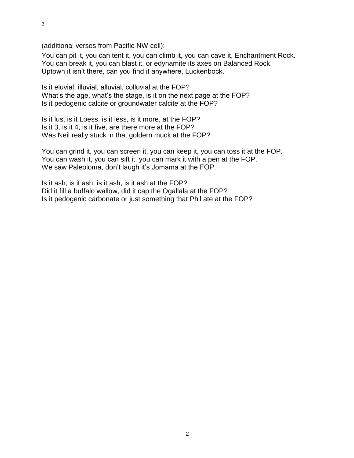(additional verses from Pacific NW cell):

You can pit it, you can tent it, you can climb it, you can cave it, Enchantment Rock. You can break it, you can blast it, or edynamite its axes on Balanced Rock! Uptown it isn't there, can you find it anywhere, Luckenbock.

Is it eluvial, illuvial, alluvial, colluvial at the FOP? What's the age, what's the stage, is it on the next page at the FOP? Is it pedogenic calcite or groundwater calcite at the FOP?

Is it lus, is it Loess, is it less, is it more, at the FOP? Is it 3, is it 4, is it five, are there more at the FOP? Was Neil really stuck in that goldern muck at the FOP?

You can grind it, you can screen it, you can keep it, you can toss it at the FOP. You can wash it, you can sift it, you can mark it with a pen at the FOP. We saw Paleoloma, don't laugh it's Jomama at the FOP.

Is it ash, is it ash, is it ash, is it ash at the FOP? Did it fill a buffalo wallow, did it cap the Ogallala at the FOP? Is it pedogenic carbonate or just something that Phil ate at the FOP?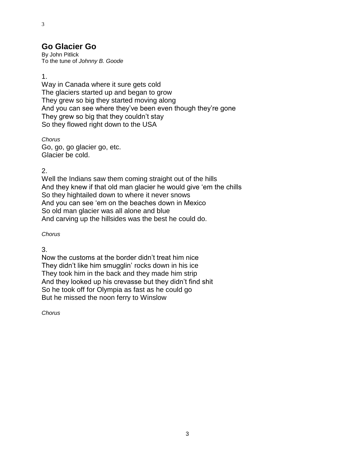### **Go Glacier Go**

By John Pitlick To the tune of *Johnny B. Goode*

1.

3

Way in Canada where it sure gets cold The glaciers started up and began to grow They grew so big they started moving along And you can see where they've been even though they're gone They grew so big that they couldn't stay So they flowed right down to the USA

*Chorus* Go, go, go glacier go, etc. Glacier be cold.

2.

Well the Indians saw them coming straight out of the hills And they knew if that old man glacier he would give 'em the chills So they hightailed down to where it never snows And you can see 'em on the beaches down in Mexico So old man glacier was all alone and blue And carving up the hillsides was the best he could do.

*Chorus*

3.

Now the customs at the border didn't treat him nice They didn't like him smugglin' rocks down in his ice They took him in the back and they made him strip And they looked up his crevasse but they didn't find shit So he took off for Olympia as fast as he could go But he missed the noon ferry to Winslow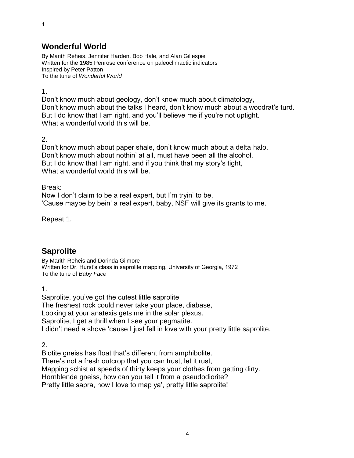# **Wonderful World**

By Marith Reheis, Jennifer Harden, Bob Hale, and Alan Gillespie Written for the 1985 Penrose conference on paleoclimactic indicators Inspired by Peter Patton To the tune of *Wonderful World*

1.

4

Don't know much about geology, don't know much about climatology, Don't know much about the talks I heard, don't know much about a woodrat's turd. But I do know that I am right, and you'll believe me if you're not uptight. What a wonderful world this will be.

2.

Don't know much about paper shale, don't know much about a delta halo. Don't know much about nothin' at all, must have been all the alcohol. But I do know that I am right, and if you think that my story's tight, What a wonderful world this will be.

Break:

Now I don't claim to be a real expert, but I'm tryin' to be, 'Cause maybe by bein' a real expert, baby, NSF will give its grants to me.

Repeat 1.

# **Saprolite**

By Marith Reheis and Dorinda Gilmore Written for Dr. Hurst's class in saprolite mapping, University of Georgia, 1972 To the tune of *Baby Face*

1.

Saprolite, you've got the cutest little saprolite The freshest rock could never take your place, diabase, Looking at your anatexis gets me in the solar plexus. Saprolite, I get a thrill when I see your pegmatite. I didn't need a shove 'cause I just fell in love with your pretty little saprolite.

2.

Biotite gneiss has float that's different from amphibolite. There's not a fresh outcrop that you can trust, let it rust, Mapping schist at speeds of thirty keeps your clothes from getting dirty. Hornblende gneiss, how can you tell it from a pseudodiorite? Pretty little sapra, how I love to map ya', pretty little saprolite!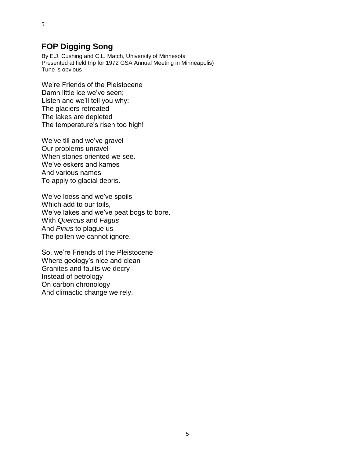# **FOP Digging Song**

By E.J. Cushing and C.L. Match, University of Minnesota Presented at field trip for 1972 GSA Annual Meeting in Minneapolis) Tune is obvious

We're Friends of the Pleistocene Damn little ice we've seen; Listen and we'll tell you why: The glaciers retreated The lakes are depleted The temperature's risen too high!

We've till and we've gravel Our problems unravel When stones oriented we see. We've eskers and kames And various names To apply to glacial debris.

We've loess and we've spoils Which add to our toils, We've lakes and we've peat bogs to bore. With *Quercus* and *Fagus* And *Pinus* to plague us The pollen we cannot ignore.

So, we're Friends of the Pleistocene Where geology's nice and clean Granites and faults we decry Instead of petrology On carbon chronology And climactic change we rely.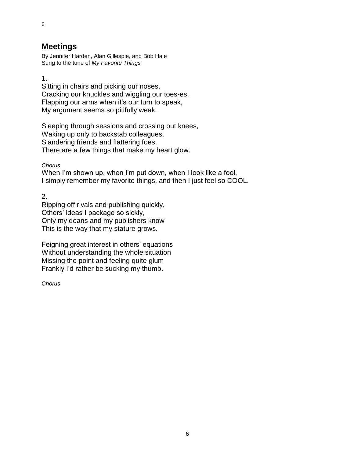### **Meetings**

By Jennifer Harden, Alan Gillespie, and Bob Hale Sung to the tune of *My Favorite Things*

1.

6

Sitting in chairs and picking our noses, Cracking our knuckles and wiggling our toes-es, Flapping our arms when it's our turn to speak, My argument seems so pitifully weak.

Sleeping through sessions and crossing out knees, Waking up only to backstab colleagues, Slandering friends and flattering foes, There are a few things that make my heart glow.

*Chorus*

When I'm shown up, when I'm put down, when I look like a fool, I simply remember my favorite things, and then I just feel so COOL.

2.

Ripping off rivals and publishing quickly, Others' ideas I package so sickly, Only my deans and my publishers know This is the way that my stature grows.

Feigning great interest in others' equations Without understanding the whole situation Missing the point and feeling quite glum Frankly I'd rather be sucking my thumb.

*Chorus*

6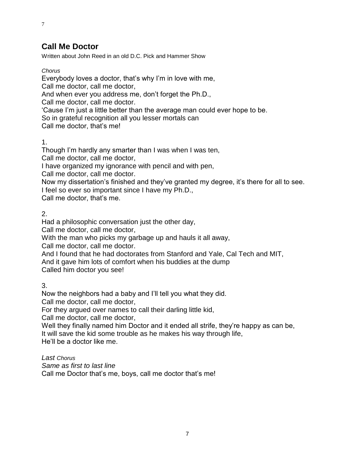# **Call Me Doctor**

Written about John Reed in an old D.C. Pick and Hammer Show

*Chorus*

7

Everybody loves a doctor, that's why I'm in love with me,

Call me doctor, call me doctor,

And when ever you address me, don't forget the Ph.D.,

Call me doctor, call me doctor.

'Cause I'm just a little better than the average man could ever hope to be.

So in grateful recognition all you lesser mortals can

Call me doctor, that's me!

### 1.

Though I'm hardly any smarter than I was when I was ten,

Call me doctor, call me doctor,

I have organized my ignorance with pencil and with pen,

Call me doctor, call me doctor.

Now my dissertation's finished and they've granted my degree, it's there for all to see. I feel so ever so important since I have my Ph.D.,

Call me doctor, that's me.

### 2.

Had a philosophic conversation just the other day,

Call me doctor, call me doctor,

With the man who picks my garbage up and hauls it all away,

Call me doctor, call me doctor.

And I found that he had doctorates from Stanford and Yale, Cal Tech and MIT,

And it gave him lots of comfort when his buddies at the dump

Called him doctor you see!

3.

Now the neighbors had a baby and I'll tell you what they did.

Call me doctor, call me doctor,

For they argued over names to call their darling little kid,

Call me doctor, call me doctor,

Well they finally named him Doctor and it ended all strife, they're happy as can be, It will save the kid some trouble as he makes his way through life,

He'll be a doctor like me.

*Last Chorus*

*Same as first to last line*

Call me Doctor that's me, boys, call me doctor that's me!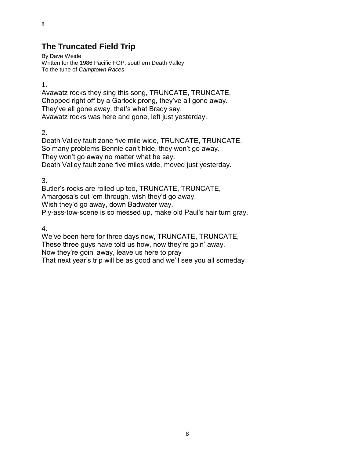# **The Truncated Field Trip**

By Dave Weide Written for the 1986 Pacific FOP, southern Death Valley To the tune of *Camptown Races*

1.

8

Avawatz rocks they sing this song, TRUNCATE, TRUNCATE, Chopped right off by a Garlock prong, they've all gone away. They've all gone away, that's what Brady say, Avawatz rocks was here and gone, left just yesterday.

2.

Death Valley fault zone five mile wide, TRUNCATE, TRUNCATE, So many problems Bennie can't hide, they won't go away. They won't go away no matter what he say. Death Valley fault zone five miles wide, moved just yesterday.

3.

Butler's rocks are rolled up too, TRUNCATE, TRUNCATE, Amargosa's cut 'em through, wish they'd go away. Wish they'd go away, down Badwater way. Ply-ass-tow-scene is so messed up, make old Paul's hair turn gray.

4.

We've been here for three days now, TRUNCATE, TRUNCATE, These three guys have told us how, now they're goin' away. Now they're goin' away, leave us here to pray That next year's trip will be as good and we'll see you all someday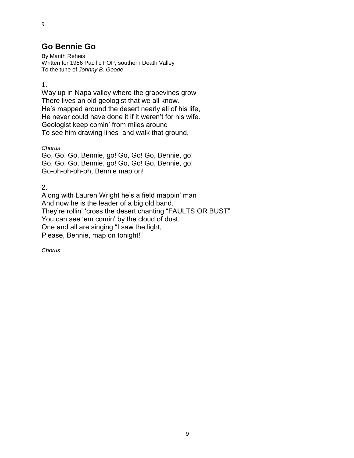## **Go Bennie Go**

By Marith Reheis Written for 1986 Pacific FOP, southern Death Valley To the tune of *Johnny B. Goode*

1.

9

Way up in Napa valley where the grapevines grow There lives an old geologist that we all know. He's mapped around the desert nearly all of his life, He never could have done it if it weren't for his wife. Geologist keep comin' from miles around To see him drawing lines and walk that ground,

*Chorus*

Go, Go! Go, Bennie, go! Go, Go! Go, Bennie, go! Go, Go! Go, Bennie, go! Go, Go! Go, Bennie, go! Go-oh-oh-oh-oh, Bennie map on!

2.

Along with Lauren Wright he's a field mappin' man And now he is the leader of a big old band. They're rollin' 'cross the desert chanting "FAULTS OR BUST" You can see 'em comin' by the cloud of dust. One and all are singing "I saw the light, Please, Bennie, map on tonight!"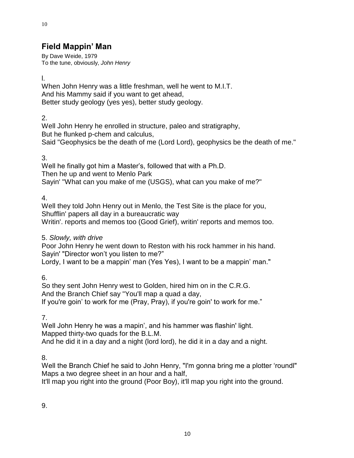# **Field Mappin' Man**

By Dave Weide, 1979 To the tune, obviously, *John Henry*

l.

10

When John Henry was a little freshman, well he went to M.I.T. And his Mammy said if you want to get ahead, Better study geology (yes yes), better study geology.

2.

Well John Henry he enrolled in structure, paleo and stratigraphy, But he flunked p-chem and calculus, Said "Geophysics be the death of me (Lord Lord), geophysics be the death of me."

3.

Well he finally got him a Master's, followed that with a Ph.D. Then he up and went to Menlo Park Sayin' "What can you make of me (USGS), what can you make of me?"

4.

Well they told John Henry out in Menlo, the Test Site is the place for you, Shufflin' papers all day in a bureaucratic way Writin'. reports and memos too (Good Grief), writin' reports and memos too.

### 5. *Slowly, with drive*

Poor John Henry he went down to Reston with his rock hammer in his hand. Sayin' "Director won't you listen to me?" Lordy, I want to be a mappin' man (Yes Yes), I want to be a mappin' man."

6.

So they sent John Henry west to Golden, hired him on in the C.R.G. And the Branch Chief say "You'll map a quad a day, If you're goin' to work for me (Pray, Pray), if you're goin' to work for me."

7.

Well John Henry he was a mapin', and his hammer was flashin' light. Mapped thirty-two quads for the B.L.M. And he did it in a day and a night (lord lord), he did it in a day and a night.

8.

Well the Branch Chief he said to John Henry, "I'm gonna bring me a plotter 'roundl" Maps a two degree sheet in an hour and a half,

It'll map you right into the ground (Poor Boy), it'll map you right into the ground.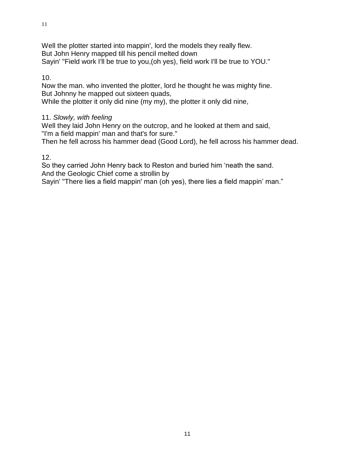#### 10.

Now the man. who invented the plotter, lord he thought he was mighty fine. But Johnny he mapped out sixteen quads,

While the plotter it only did nine (my my), the plotter it only did nine,

#### 11. *Slowly, with feeling*

Well they laid John Henry on the outcrop, and he looked at them and said, "I'm a field mappin' man and that's for sure."

Then he fell across his hammer dead (Good Lord), he fell across his hammer dead.

#### 12.

So they carried John Henry back to Reston and buried him 'neath the sand. And the Geologic Chief come a strollin by

Sayin' "There lies a field mappin' man (oh yes), there lies a field mappin' man."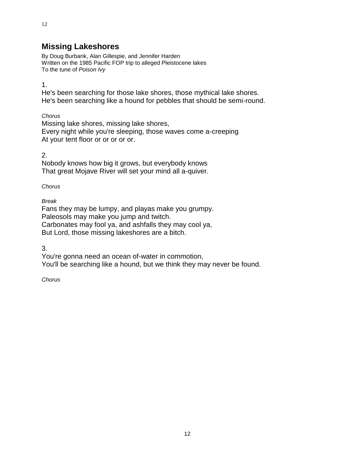# **Missing Lakeshores**

By Doug Burbank, Alan Gillespie, and Jennifer Harden Written on the 1985 Pacific FOP trip to alleged Pleistocene lakes To the tune of *Poison Ivy*

1.

He's been searching for those lake shores, those mythical lake shores. He's been searching like a hound for pebbles that should be semi-round.

*Chorus*

Missing lake shores, missing lake shores, Every night while you're sleeping, those waves come a-creeping At your tent floor or or or or or.

2.

Nobody knows how big it grows, but everybody knows That great Mojave River will set your mind all a-quiver.

*Chorus*

*Break*

Fans they may be lumpy, and playas make you grumpy. Paleosols may make you jump and twitch. Carbonates may fool ya, and ashfalls they may cool ya, But Lord, those missing lakeshores are a bitch.

3.

You're gonna need an ocean of-water in commotion, You'll be searching like a hound, but we think they may never be found.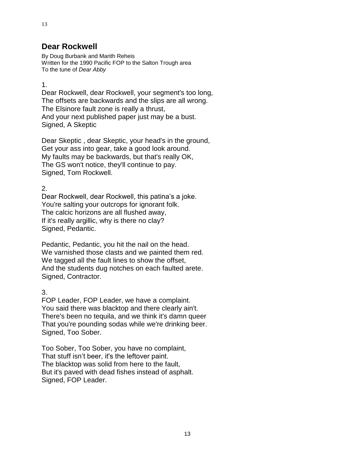### **Dear Rockwell**

By Doug Burbank and Marith Reheis Written for the 1990 Pacific FOP to the Salton Trough area To the tune of *Dear Abby*

#### 1.

Dear Rockwell, dear Rockwell, your segment's too long, The offsets are backwards and the slips are all wrong. The Elsinore fault zone is really a thrust, And your next published paper just may be a bust. Signed, A Skeptic

Dear Skeptic , dear Skeptic, your head's in the ground, Get your ass into gear, take a good look around. My faults may be backwards, but that's really OK, The GS won't notice, they'll continue to pay. Signed, Tom Rockwell.

### 2.

Dear Rockwell, dear Rockwell, this patina's a joke. You're salting your outcrops for ignorant folk. The calcic horizons are all flushed away, If it's really argillic, why is there no clay? Signed, Pedantic.

Pedantic, Pedantic, you hit the nail on the head. We varnished those clasts and we painted them red. We tagged all the fault lines to show the offset, And the students dug notches on each faulted arete. Signed, Contractor.

#### 3.

FOP Leader, FOP Leader, we have a complaint. You said there was blacktop and there clearly ain't. There's been no tequila, and we think it's damn queer That you're pounding sodas while we're drinking beer. Signed, Too Sober.

Too Sober, Too Sober, you have no complaint, That stuff isn't beer, it's the leftover paint. The blacktop was solid from here to the fault, But it's paved with dead fishes instead of asphalt. Signed, FOP Leader.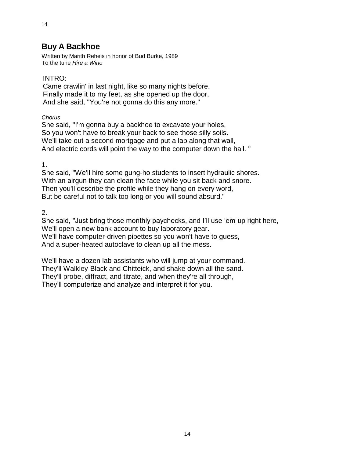### **Buy A Backhoe**

Written by Marith Reheis in honor of Bud Burke, 1989 To the tune *Hire a Wino*

#### INTRO:

14

Came crawlin' in last night, like so many nights before. Finally made it to my feet, as she opened up the door, And she said, "You're not gonna do this any more."

*Chorus*

She said, "I'm gonna buy a backhoe to excavate your holes, So you won't have to break your back to see those silly soils. We'll take out a second mortgage and put a lab along that wall, And electric cords will point the way to the computer down the hall. "

1.

She said, "We'll hire some gung-ho students to insert hydraulic shores. With an airgun they can clean the face while you sit back and snore. Then you'll describe the profile while they hang on every word, But be careful not to talk too long or you will sound absurd."

2.

She said, "Just bring those monthly paychecks, and I'll use 'em up right here, We'll open a new bank account to buy laboratory gear. We'll have computer-driven pipettes so you won't have to guess, And a super-heated autoclave to clean up all the mess.

We'll have a dozen lab assistants who will jump at your command. They'll Walkley-Black and Chitteick, and shake down all the sand. They'll probe, diffract, and titrate, and when they're all through, They'll computerize and analyze and interpret it for you.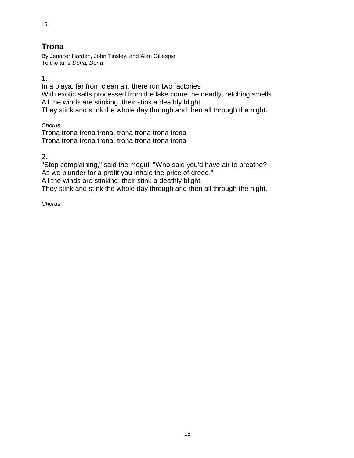# **Trona**

By Jennifer Harden, John Tinsley, and Alan Gillespie To the tune *Dona, Dona*

1.

In a playa, far from clean air, there run two factories With exotic salts processed from the lake come the deadly, retching smells. All the winds are stinking, their stink a deathly blight. They stink and stink the whole day through and then all through the night.

*Chorus*

Trona trona trona trona, trona trona trona trona Trona trona trona trona, trona trona trona trona

2.

"Stop complaining," said the mogul, "Who said you'd have air to breathe? As we plunder for a profit you inhale the price of greed." All the winds are stinking, their stink a deathly blight. They stink and stink the whole day through and then all through the night.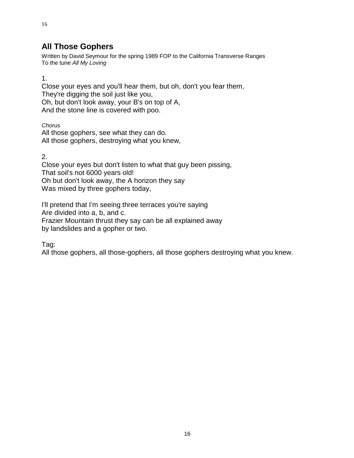# **All Those Gophers**

Written by David Seymour for the spring 1989 FOP to the California Transverse Ranges To the tune *All My Loving*

1.

16

Close your eyes and you'll hear them, but oh, don't you fear them, They're digging the soil just like you, Oh, but don't look away, your B's on top of A, And the stone line is covered with poo.

*Chorus* All those gophers, see what they can do. All those gophers, destroying what you knew,

2.

Close your eyes but don't listen to what that guy been pissing, That soil's not 6000 years old! Oh but don't look away, the A horizon they say Was mixed by three gophers today,

I'll pretend that I'm seeing three terraces you're saying Are divided into a, b, and c. Frazier Mountain thrust they say can be all explained away by landslides and a gopher or two.

Tag:

All those gophers, all those-gophers, all those gophers destroying what you knew.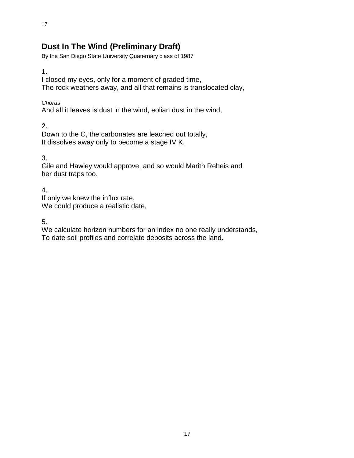# **Dust In The Wind (Preliminary Draft)**

By the San Diego State University Quaternary class of 1987

1.

I closed my eyes, only for a moment of graded time,

The rock weathers away, and all that remains is translocated clay,

*Chorus*

And all it leaves is dust in the wind, eolian dust in the wind,

2.

Down to the C, the carbonates are leached out totally, It dissolves away only to become a stage IV K.

3.

Gile and Hawley would approve, and so would Marith Reheis and her dust traps too.

4.

If only we knew the influx rate, We could produce a realistic date,

5.

We calculate horizon numbers for an index no one really understands, To date soil profiles and correlate deposits across the land.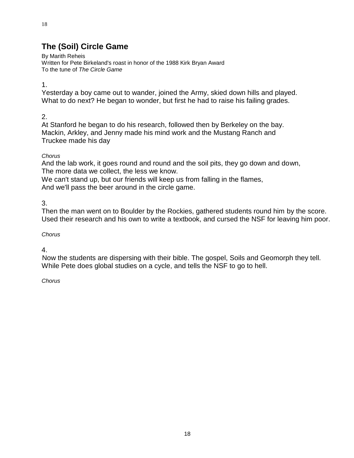# **The (Soil) Circle Game**

By Marith Reheis Written for Pete Birkeland's roast in honor of the 1988 Kirk Bryan Award To the tune of *The Circle Game*

1.

Yesterday a boy came out to wander, joined the Army, skied down hills and played. What to do next? He began to wonder, but first he had to raise his failing grades.

### 2.

At Stanford he began to do his research, followed then by Berkeley on the bay. Mackin, Arkley, and Jenny made his mind work and the Mustang Ranch and Truckee made his day

### *Chorus*

And the lab work, it goes round and round and the soil pits, they go down and down, The more data we collect, the less we know.

We can't stand up, but our friends will keep us from falling in the flames, And we'll pass the beer around in the circle game.

3.

Then the man went on to Boulder by the Rockies, gathered students round him by the score. Used their research and his own to write a textbook, and cursed the NSF for leaving him poor.

*Chorus*

4.

Now the students are dispersing with their bible. The gospel, Soils and Geomorph they tell. While Pete does global studies on a cycle, and tells the NSF to go to hell.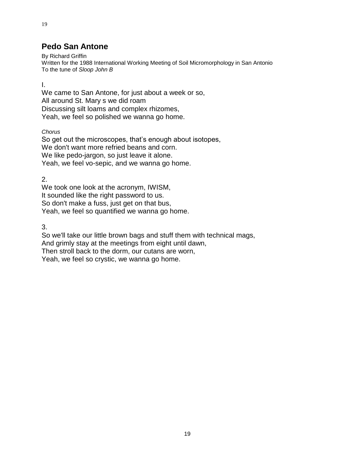# **Pedo San Antone**

By Richard Griffin Written for the 1988 International Working Meeting of Soil Micromorphology in San Antonio To the tune of *Sloop John B*

I.

19

We came to San Antone, for just about a week or so, All around St. Mary s we did roam Discussing silt loams and complex rhizomes, Yeah, we feel so polished we wanna go home.

*Chorus*

So get out the microscopes, that's enough about isotopes, We don't want more refried beans and corn. We like pedo-jargon, so just leave it alone. Yeah, we feel vo-sepic, and we wanna go home.

2.

We took one look at the acronym, IWISM, It sounded like the right password to us. So don't make a fuss, just get on that bus, Yeah, we feel so quantified we wanna go home.

3.

So we'll take our little brown bags and stuff them with technical mags, And grimly stay at the meetings from eight until dawn, Then stroll back to the dorm, our cutans are worn, Yeah, we feel so crystic, we wanna go home.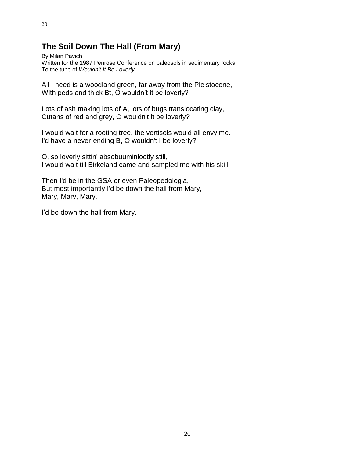# **The Soil Down The Hall (From Mary)**

By Milan Pavich Written for the 1987 Penrose Conference on paleosols in sedimentary rocks To the tune of *Wouldn't It Be Loverly*

All I need is a woodland green, far away from the Pleistocene, With peds and thick Bt, O wouldn't it be loverly?

Lots of ash making lots of A, lots of bugs translocating clay, Cutans of red and grey, O wouldn't it be loverly?

I would wait for a rooting tree, the vertisols would all envy me. I'd have a never-ending B, O wouldn't I be loverly?

O, so loverly sittin' absobuuminlootly still, I would wait till Birkeland came and sampled me with his skill.

Then I'd be in the GSA or even Paleopedologia, But most importantly I'd be down the hall from Mary, Mary, Mary, Mary,

I'd be down the hall from Mary.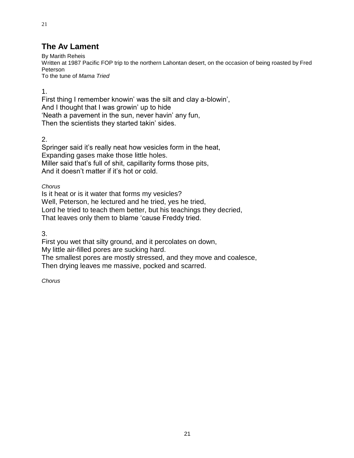# **The Av Lament**

By Marith Reheis Written at 1987 Pacific FOP trip to the northern Lahontan desert, on the occasion of being roasted by Fred Peterson To the tune of *Mama Tried*

1.

21

First thing I remember knowin' was the silt and clay a-blowin', And I thought that I was growin' up to hide 'Neath a pavement in the sun, never havin' any fun, Then the scientists they started takin' sides.

2.

Springer said it's really neat how vesicles form in the heat, Expanding gases make those little holes. Miller said that's full of shit, capillarity forms those pits, And it doesn't matter if it's hot or cold.

*Chorus*

Is it heat or is it water that forms my vesicles? Well, Peterson, he lectured and he tried, yes he tried, Lord he tried to teach them better, but his teachings they decried, That leaves only them to blame 'cause Freddy tried.

3.

First you wet that silty ground, and it percolates on down, My little air-filled pores are sucking hard.

The smallest pores are mostly stressed, and they move and coalesce, Then drying leaves me massive, pocked and scarred.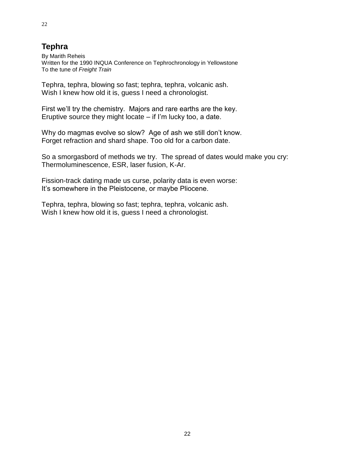# **Tephra**

By Marith Reheis Written for the 1990 INQUA Conference on Tephrochronology in Yellowstone To the tune of *Freight Train*

Tephra, tephra, blowing so fast; tephra, tephra, volcanic ash. Wish I knew how old it is, guess I need a chronologist.

First we'll try the chemistry. Majors and rare earths are the key. Eruptive source they might locate – if I'm lucky too, a date.

Why do magmas evolve so slow? Age of ash we still don't know. Forget refraction and shard shape. Too old for a carbon date.

So a smorgasbord of methods we try. The spread of dates would make you cry: Thermoluminescence, ESR, laser fusion, K-Ar.

Fission-track dating made us curse, polarity data is even worse: It's somewhere in the Pleistocene, or maybe Pliocene.

Tephra, tephra, blowing so fast; tephra, tephra, volcanic ash. Wish I knew how old it is, guess I need a chronologist.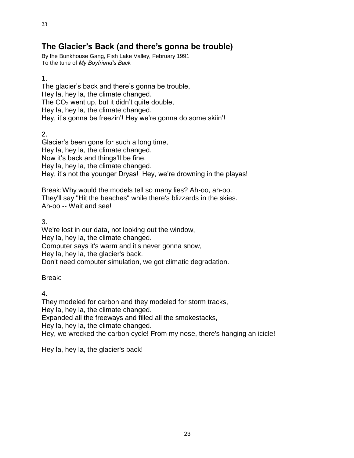# **The Glacier's Back (and there's gonna be trouble)**

By the Bunkhouse Gang, Fish Lake Valley, February 1991 To the tune of *My Boyfriend's Back*

1.

The glacier's back and there's gonna be trouble, Hey la, hey la, the climate changed. The  $CO<sub>2</sub>$  went up, but it didn't quite double, Hey la, hey la, the climate changed. Hey, it's gonna be freezin'! Hey we're gonna do some skiin'!

2.

Glacier's been gone for such a long time, Hey la, hey la, the climate changed. Now it's back and things'll be fine, Hey la, hey la, the climate changed. Hey, it's not the younger Dryas! Hey, we're drowning in the playas!

Break:Why would the models tell so many lies? Ah-oo, ah-oo. They'll say "Hit the beaches" while there's blizzards in the skies. Ah-oo -- Wait and see!

3.

We're lost in our data, not looking out the window, Hey la, hey la, the climate changed. Computer says it's warm and it's never gonna snow, Hey la, hey la, the glacier's back. Don't need computer simulation, we got climatic degradation.

Break:

4.

They modeled for carbon and they modeled for storm tracks,

Hey la, hey la, the climate changed.

Expanded all the freeways and filled all the smokestacks,

Hey la, hey la, the climate changed.

Hey, we wrecked the carbon cycle! From my nose, there's hanging an icicle!

Hey la, hey la, the glacier's back!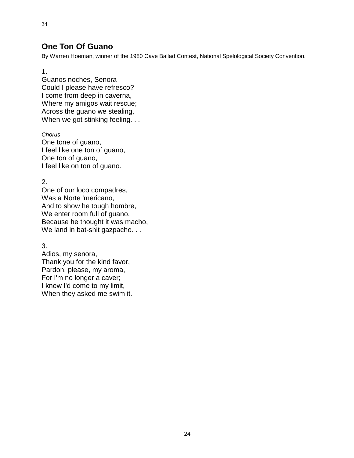### **One Ton Of Guano**

By Warren Hoeman, winner of the 1980 Cave Ballad Contest, National Spelological Society Convention.

1.

24

Guanos noches, Senora Could I please have refresco? I come from deep in caverna, Where my amigos wait rescue; Across the guano we stealing, When we got stinking feeling. . .

*Chorus* One tone of guano, I feel like one ton of guano, One ton of guano, I feel like on ton of guano.

2.

One of our loco compadres, Was a Norte 'mericano, And to show he tough hombre, We enter room full of guano, Because he thought it was macho, We land in bat-shit gazpacho. . .

3.

Adios, my senora, Thank you for the kind favor, Pardon, please, my aroma, For I'm no longer a caver; I knew I'd come to my limit, When they asked me swim it.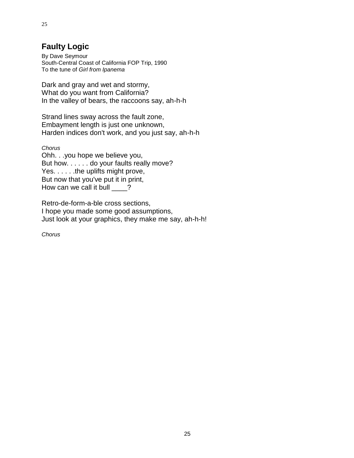# **Faulty Logic**

By Dave Seymour South-Central Coast of California FOP Trip, 1990 To the tune of *Girl from Ipanema*

Dark and gray and wet and stormy, What do you want from California? In the valley of bears, the raccoons say, ah-h-h

Strand lines sway across the fault zone, Embayment length is just one unknown, Harden indices don't work, and you just say, ah-h-h

*Chorus*

Ohh. . .you hope we believe you, But how. . . . . . do your faults really move? Yes. . . . . . the uplifts might prove, But now that you've put it in print, How can we call it bull \_\_\_\_?

Retro-de-form-a-ble cross sections, I hope you made some good assumptions, Just look at your graphics, they make me say, ah-h-h!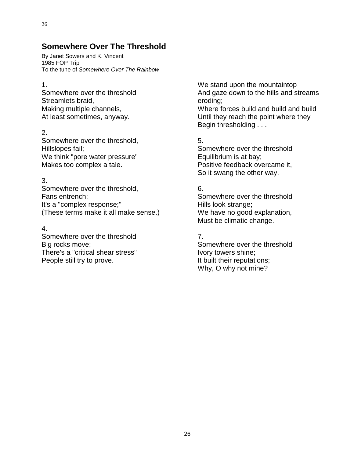# **Somewhere Over The Threshold**

By Janet Sowers and K. Vincent 1985 FOP Trip To the tune of *Somewhere Over The Rainbow*

#### 1.

Somewhere over the threshold Streamlets braid, Making multiple channels, At least sometimes, anyway.

### 2.

Somewhere over the threshold, Hillslopes fail; We think "pore water pressure" Makes too complex a tale.

#### 3.

Somewhere over the threshold, Fans entrench; It's a "complex response;" (These terms make it all make sense.)

### 4.

Somewhere over the threshold Big rocks move; There's a "critical shear stress" People still try to prove.

We stand upon the mountaintop And gaze down to the hills and streams eroding;

Where forces build and build and build Until they reach the point where they Begin thresholding . . .

### 5.

Somewhere over the threshold Equilibrium is at bay; Positive feedback overcame it, So it swang the other way.

### 6.

Somewhere over the threshold Hills look strange: We have no good explanation, Must be climatic change.

### 7.

Somewhere over the threshold Ivory towers shine; It built their reputations; Why, O why not mine?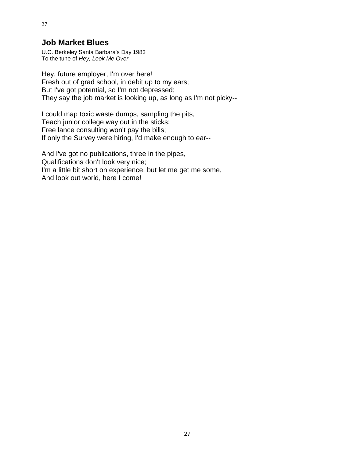### **Job Market Blues**

U.C. Berkeley Santa Barbara's Day 1983 To the tune of *Hey, Look Me Over*

Hey, future employer, I'm over here! Fresh out of grad school, in debit up to my ears; But I've got potential, so I'm not depressed; They say the job market is looking up, as long as I'm not picky--

I could map toxic waste dumps, sampling the pits, Teach junior college way out in the sticks; Free lance consulting won't pay the bills; If only the Survey were hiring, I'd make enough to ear--

And I've got no publications, three in the pipes, Qualifications don't look very nice; I'm a little bit short on experience, but let me get me some, And look out world, here I come!

27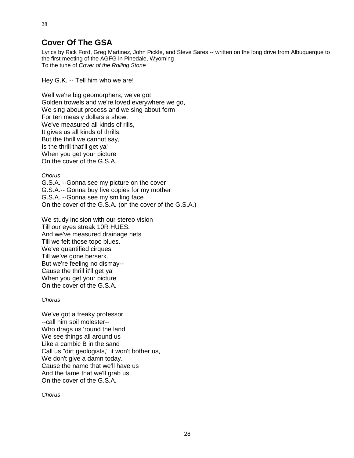# **Cover Of The GSA**

28

Lyrics by Rick Ford, Greg Martinez, John Pickle, and Steve Sares -- written on the long drive from Albuquerque to the first meeting of the AGFG in Pinedale, Wyoming To the tune of *Cover of the Rolling Stone*

Hey G.K. -- Tell him who we are!

Well we're big geomorphers, we've got Golden trowels and we're loved everywhere we go, We sing about process and we sing about form For ten measly dollars a show. We've measured all kinds of rills. It gives us all kinds of thrills, But the thrill we cannot say, Is the thrill that'll get ya' When you get your picture On the cover of the G.S.A.

*Chorus*

G.S.A. --Gonna see my picture on the cover G.S.A.-- Gonna buy five copies for my mother G.S.A. --Gonna see my smiling face On the cover of the G.S.A. (on the cover of the G.S.A.)

We study incision with our stereo vision Till our eyes streak 10R HUES. And we've measured drainage nets Till we felt those topo blues. We've quantified cirques Till we've gone berserk. But we're feeling no dismay-- Cause the thrill it'll get ya' When you get your picture On the cover of the G.S.A.

#### *Chorus*

We've got a freaky professor --call him soil molester-- Who drags us 'round the land We see things all around us Like a cambic B in the sand Call us "dirt geologists," it won't bother us, We don't give a damn today. Cause the name that we'll have us And the fame that we'll grab us On the cover of the G.S.A.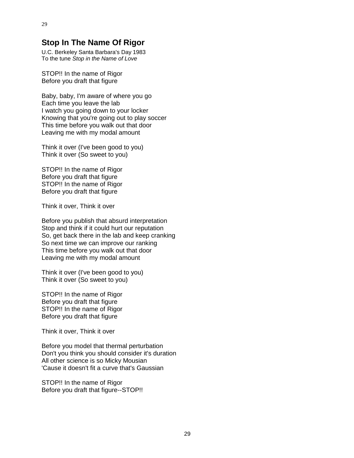U.C. Berkeley Santa Barbara's Day 1983 To the tune *Stop in the Name of Love*

STOP!! In the name of Rigor Before you draft that figure

Baby, baby, I'm aware of where you go Each time you leave the lab I watch you going down to your locker Knowing that you're going out to play soccer This time before you walk out that door Leaving me with my modal amount

Think it over (I've been good to you) Think it over (So sweet to you)

STOP!! In the name of Rigor Before you draft that figure STOP!! In the name of Rigor Before you draft that figure

Think it over, Think it over

Before you publish that absurd interpretation Stop and think if it could hurt our reputation So, get back there in the lab and keep cranking So next time we can improve our ranking This time before you walk out that door Leaving me with my modal amount

Think it over (I've been good to you) Think it over (So sweet to you)

STOP!! In the name of Rigor Before you draft that figure STOP!! In the name of Rigor Before you draft that figure

Think it over, Think it over

Before you model that thermal perturbation Don't you think you should consider it's duration All other science is so Micky Mousian 'Cause it doesn't fit a curve that's Gaussian

STOP!! In the name of Rigor Before you draft that figure--STOP!!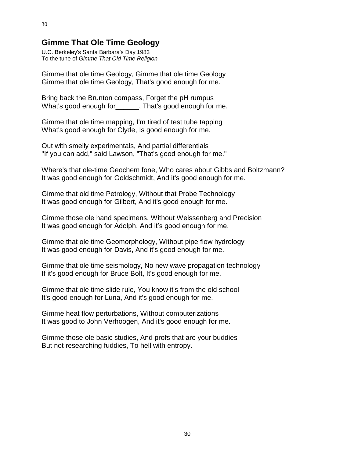## **Gimme That Ole Time Geology**

U.C. Berkeley's Santa Barbara's Day 1983 To the tune of *Gimme That Old Time Religion*

Gimme that ole time Geology, Gimme that ole time Geology Gimme that ole time Geology, That's good enough for me.

Bring back the Brunton compass, Forget the pH rumpus What's good enough for Finat's good enough for me.

Gimme that ole time mapping, I'm tired of test tube tapping What's good enough for Clyde, Is good enough for me.

Out with smelly experimentals, And partial differentials "If you can add," said Lawson, "That's good enough for me."

Where's that ole-time Geochem fone, Who cares about Gibbs and Boltzmann? It was good enough for Goldschmidt, And it's good enough for me.

Gimme that old time Petrology, Without that Probe Technology It was good enough for Gilbert, And it's good enough for me.

Gimme those ole hand specimens, Without Weissenberg and Precision It was good enough for Adolph, And it's good enough for me.

Gimme that ole time Geomorphology, Without pipe flow hydrology It was good enough for Davis, And it's good enough for me.

Gimme that ole time seismology, No new wave propagation technology If it's good enough for Bruce Bolt, It's good enough for me.

Gimme that ole time slide rule, You know it's from the old school It's good enough for Luna, And it's good enough for me.

Gimme heat flow perturbations, Without computerizations It was good to John Verhoogen, And it's good enough for me.

Gimme those ole basic studies, And profs that are your buddies But not researching fuddies, To hell with entropy.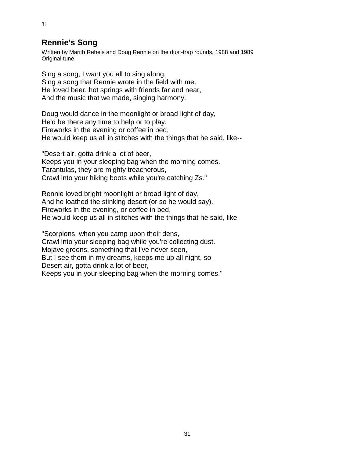# **Rennie's Song**

Written by Marith Reheis and Doug Rennie on the dust-trap rounds, 1988 and 1989 Original tune

Sing a song, I want you all to sing along, Sing a song that Rennie wrote in the field with me. He loved beer, hot springs with friends far and near, And the music that we made, singing harmony.

Doug would dance in the moonlight or broad light of day, He'd be there any time to help or to play. Fireworks in the evening or coffee in bed, He would keep us all in stitches with the things that he said, like--

"Desert air, gotta drink a lot of beer, Keeps you in your sleeping bag when the morning comes. Tarantulas, they are mighty treacherous, Crawl into your hiking boots while you're catching Zs."

Rennie loved bright moonlight or broad light of day, And he loathed the stinking desert (or so he would say). Fireworks in the evening, or coffee in bed, He would keep us all in stitches with the things that he said, like--

"Scorpions, when you camp upon their dens, Crawl into your sleeping bag while you're collecting dust. Mojave greens, something that I've never seen, But I see them in my dreams, keeps me up all night, so Desert air, gotta drink a lot of beer, Keeps you in your sleeping bag when the morning comes."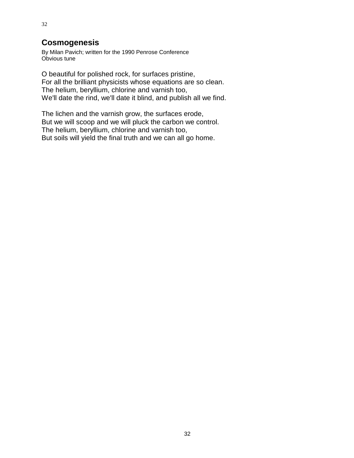## **Cosmogenesis**

By Milan Pavich; written for the 1990 Penrose Conference Obvious tune

O beautiful for polished rock, for surfaces pristine, For all the brilliant physicists whose equations are so clean. The helium, beryllium, chlorine and varnish too, We'll date the rind, we'll date it blind, and publish all we find.

The lichen and the varnish grow, the surfaces erode, But we will scoop and we will pluck the carbon we control. The helium, beryllium, chlorine and varnish too, But soils will yield the final truth and we can all go home.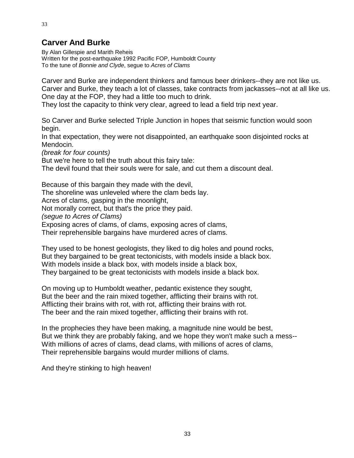# **Carver And Burke**

By Alan Gillespie and Marith Reheis Written for the post-earthquake 1992 Pacific FOP, Humboldt County To the tune of *Bonnie and Clyde*, segue to *Acres of Clams*

Carver and Burke are independent thinkers and famous beer drinkers--they are not like us. Carver and Burke, they teach a lot of classes, take contracts from jackasses--not at all like us. One day at the FOP, they had a little too much to drink.

They lost the capacity to think very clear, agreed to lead a field trip next year.

So Carver and Burke selected Triple Junction in hopes that seismic function would soon begin.

In that expectation, they were not disappointed, an earthquake soon disjointed rocks at Mendocin.

*(break for four counts)*

But we're here to tell the truth about this fairy tale:

The devil found that their souls were for sale, and cut them a discount deal.

Because of this bargain they made with the devil, The shoreline was unleveled where the clam beds lay. Acres of clams, gasping in the moonlight, Not morally correct, but that's the price they paid. *(segue to Acres of Clams)* Exposing acres of clams, of clams, exposing acres of clams, Their reprehensible bargains have murdered acres of clams.

They used to be honest geologists, they liked to dig holes and pound rocks, But they bargained to be great tectonicists, with models inside a black box. With models inside a black box, with models inside a black box, They bargained to be great tectonicists with models inside a black box.

On moving up to Humboldt weather, pedantic existence they sought, But the beer and the rain mixed together, afflicting their brains with rot. Afflicting their brains with rot, with rot, afflicting their brains with rot. The beer and the rain mixed together, afflicting their brains with rot.

In the prophecies they have been making, a magnitude nine would be best, But we think they are probably faking, and we hope they won't make such a mess-- With millions of acres of clams, dead clams, with millions of acres of clams, Their reprehensible bargains would murder millions of clams.

And they're stinking to high heaven!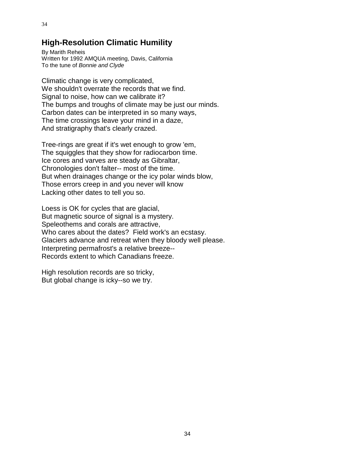# **High-Resolution Climatic Humility**

By Marith Reheis Written for 1992 AMQUA meeting, Davis, California To the tune of *Bonnie and Clyde*

Climatic change is very complicated, We shouldn't overrate the records that we find. Signal to noise, how can we calibrate it? The bumps and troughs of climate may be just our minds. Carbon dates can be interpreted in so many ways, The time crossings leave your mind in a daze, And stratigraphy that's clearly crazed.

Tree-rings are great if it's wet enough to grow 'em, The squiggles that they show for radiocarbon time. Ice cores and varves are steady as Gibraltar, Chronologies don't falter-- most of the time. But when drainages change or the icy polar winds blow, Those errors creep in and you never will know Lacking other dates to tell you so.

Loess is OK for cycles that are glacial, But magnetic source of signal is a mystery. Speleothems and corals are attractive, Who cares about the dates? Field work's an ecstasy. Glaciers advance and retreat when they bloody well please. Interpreting permafrost's a relative breeze-- Records extent to which Canadians freeze.

High resolution records are so tricky, But global change is icky--so we try.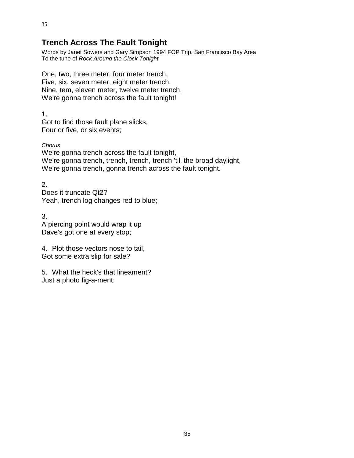Words by Janet Sowers and Gary Simpson 1994 FOP Trip, San Francisco Bay Area To the tune of *Rock Around the Clock Tonight*

One, two, three meter, four meter trench, Five, six, seven meter, eight meter trench, Nine, tem, eleven meter, twelve meter trench, We're gonna trench across the fault tonight!

1. Got to find those fault plane slicks, Four or five, or six events;

*Chorus* We're gonna trench across the fault tonight, We're gonna trench, trench, trench, trench 'till the broad daylight, We're gonna trench, gonna trench across the fault tonight.

2. Does it truncate Qt2? Yeah, trench log changes red to blue;

3. A piercing point would wrap it up Dave's got one at every stop;

4. Plot those vectors nose to tail, Got some extra slip for sale?

5. What the heck's that lineament? Just a photo fig-a-ment;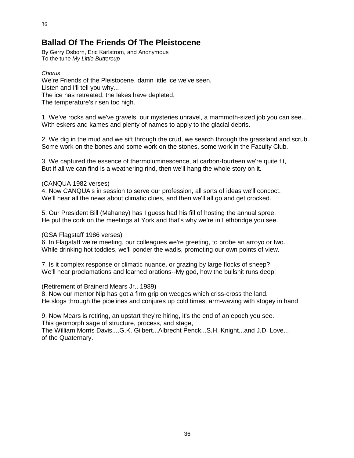# **Ballad Of The Friends Of The Pleistocene**

By Gerry Osborn, Eric Karlstrom, and Anonymous To the tune *My Little Buttercup*

#### *Chorus*

We're Friends of the Pleistocene, damn little ice we've seen, Listen and I'll tell you why... The ice has retreated, the lakes have depleted, The temperature's risen too high.

1. We've rocks and we've gravels, our mysteries unravel, a mammoth-sized job you can see... With eskers and kames and plenty of names to apply to the glacial debris.

2. We dig in the mud and we sift through the crud, we search through the grassland and scrub.. Some work on the bones and some work on the stones, some work in the Faculty Club.

3. We captured the essence of thermoluminescence, at carbon-fourteen we're quite fit, But if all we can find is a weathering rind, then we'll hang the whole story on it.

#### (CANQUA 1982 verses)

4. Now CANQUA's in session to serve our profession, all sorts of ideas we'll concoct. We'll hear all the news about climatic clues, and then we'll all go and get crocked.

5. Our President Bill (Mahaney) has I guess had his fill of hosting the annual spree. He put the cork on the meetings at York and that's why we're in Lethbridge you see.

(GSA Flagstaff 1986 verses)

6. In Flagstaff we're meeting, our colleagues we're greeting, to probe an arroyo or two. While drinking hot toddies, we'll ponder the wadis, promoting our own points of view.

7. Is it complex response or climatic nuance, or grazing by large flocks of sheep? We'll hear proclamations and learned orations--My god, how the bullshit runs deep!

(Retirement of Brainerd Mears Jr., 1989)

8. Now our mentor Nip has got a firm grip on wedges which criss-cross the land. He slogs through the pipelines and conjures up cold times, arm-waving with stogey in hand

9. Now Mears is retiring, an upstart they're hiring, it's the end of an epoch you see. This geomorph sage of structure, process, and stage,

The William Morris Davis....G.K. Gilbert...Albrecht Penck...S.H. Knight...and J.D. Love... of the Quaternary.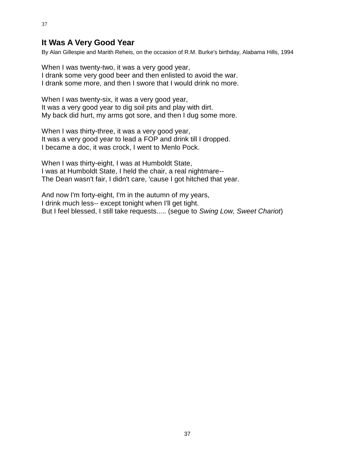## **It Was A Very Good Year**

37

By Alan Gillespie and Marith Reheis, on the occasion of R.M. Burke's birthday, Alabama Hills, 1994

When I was twenty-two, it was a very good year, I drank some very good beer and then enlisted to avoid the war. I drank some more, and then I swore that I would drink no more.

When I was twenty-six, it was a very good year, It was a very good year to dig soil pits and play with dirt. My back did hurt, my arms got sore, and then I dug some more.

When I was thirty-three, it was a very good year, It was a very good year to lead a FOP and drink till I dropped. I became a doc, it was crock, I went to Menlo Pock.

When I was thirty-eight, I was at Humboldt State, I was at Humboldt State, I held the chair, a real nightmare-- The Dean wasn't fair, I didn't care, 'cause I got hitched that year.

And now I'm forty-eight, I'm in the autumn of my years, I drink much less-- except tonight when I'll get tight. But I feel blessed, I still take requests..... (segue to *Swing Low, Sweet Chariot*)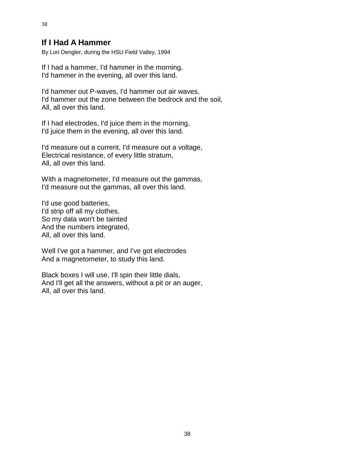## **If I Had A Hammer**

By Lori Dengler, during the HSU Field Valley, 1994

If I had a hammer, I'd hammer in the morning, I'd hammer in the evening, all over this land.

I'd hammer out P-waves, I'd hammer out air waves, I'd hammer out the zone between the bedrock and the soil, All, all over this land.

If I had electrodes, I'd juice them in the morning, I'd juice them in the evening, all over this land.

I'd measure out a current, I'd measure out a voltage, Electrical resistance, of every little stratum, All, all over this land.

With a magnetometer, I'd measure out the gammas, I'd measure out the gammas, all over this land.

I'd use good batteries, I'd strip off all my clothes, So my data won't be tainted And the numbers integrated, All, all over this land.

Well I've got a hammer, and I've got electrodes And a magnetometer, to study this land.

Black boxes I will use, I'll spin their little dials, And I'll get all the answers, without a pit or an auger, All, all over this land.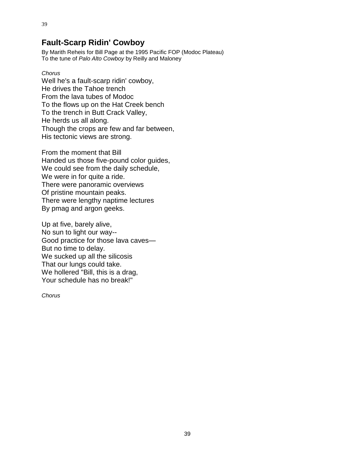## **Fault-Scarp Ridin' Cowboy**

By Marith Reheis for Bill Page at the 1995 Pacific FOP (Modoc Plateau) To the tune of *Palo Alto Cowboy* by Reilly and Maloney

#### *Chorus*

Well he's a fault-scarp ridin' cowboy, He drives the Tahoe trench From the lava tubes of Modoc To the flows up on the Hat Creek bench To the trench in Butt Crack Valley, He herds us all along. Though the crops are few and far between, His tectonic views are strong.

From the moment that Bill Handed us those five-pound color guides, We could see from the daily schedule, We were in for quite a ride. There were panoramic overviews Of pristine mountain peaks. There were lengthy naptime lectures By pmag and argon geeks.

Up at five, barely alive, No sun to light our way-- Good practice for those lava caves— But no time to delay. We sucked up all the silicosis That our lungs could take. We hollered "Bill, this is a drag, Your schedule has no break!"

*Chorus*

39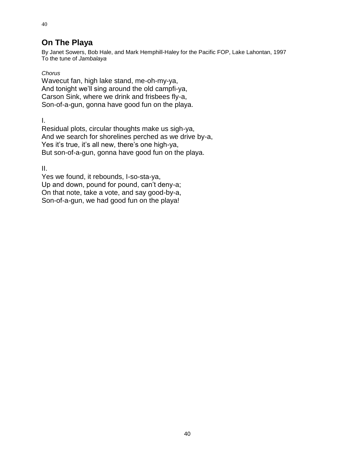# **On The Playa**

By Janet Sowers, Bob Hale, and Mark Hemphill-Haley for the Pacific FOP, Lake Lahontan, 1997 To the tune of *Jambalaya*

#### *Chorus*

40

Wavecut fan, high lake stand, me-oh-my-ya, And tonight we'll sing around the old campfi-ya, Carson Sink, where we drink and frisbees fly-a, Son-of-a-gun, gonna have good fun on the playa.

I.

Residual plots, circular thoughts make us sigh-ya, And we search for shorelines perched as we drive by-a, Yes it's true, it's all new, there's one high-ya, But son-of-a-gun, gonna have good fun on the playa.

II.

Yes we found, it rebounds, I-so-sta-ya, Up and down, pound for pound, can't deny-a; On that note, take a vote, and say good-by-a, Son-of-a-gun, we had good fun on the playa!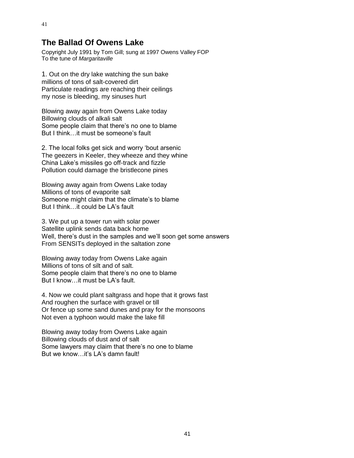## **The Ballad Of Owens Lake**

Copyright July 1991 by Tom Gill; sung at 1997 Owens Valley FOP To the tune of *Margaritaville*

1. Out on the dry lake watching the sun bake millions of tons of salt-covered dirt Particulate readings are reaching their ceilings my nose is bleeding, my sinuses hurt

Blowing away again from Owens Lake today Billowing clouds of alkali salt Some people claim that there's no one to blame But I think…it must be someone's fault

2. The local folks get sick and worry 'bout arsenic The geezers in Keeler, they wheeze and they whine China Lake's missiles go off-track and fizzle Pollution could damage the bristlecone pines

Blowing away again from Owens Lake today Millions of tons of evaporite salt Someone might claim that the climate's to blame But I think…it could be LA's fault

3. We put up a tower run with solar power Satellite uplink sends data back home Well, there's dust in the samples and we'll soon get some answers From SENSITs deployed in the saltation zone

Blowing away today from Owens Lake again Millions of tons of silt and of salt. Some people claim that there's no one to blame But I know…it must be LA's fault.

4. Now we could plant saltgrass and hope that it grows fast And roughen the surface with gravel or till Or fence up some sand dunes and pray for the monsoons Not even a typhoon would make the lake fill

Blowing away today from Owens Lake again Billowing clouds of dust and of salt Some lawyers may claim that there's no one to blame But we know…it's LA's damn fault!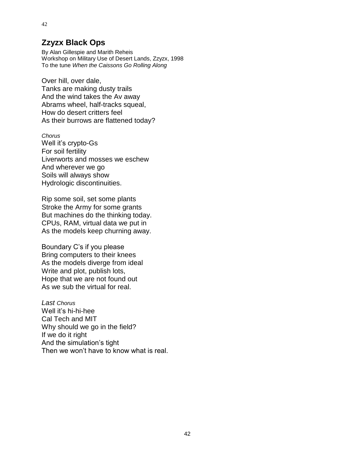## **Zzyzx Black Ops**

42

By Alan Gillespie and Marith Reheis Workshop on Military Use of Desert Lands, Zzyzx, 1998 To the tune *When the Caissons Go Rolling Along*

Over hill, over dale, Tanks are making dusty trails And the wind takes the Av away Abrams wheel, half-tracks squeal, How do desert critters feel As their burrows are flattened today?

*Chorus* Well it's crypto-Gs For soil fertility Liverworts and mosses we eschew And wherever we go Soils will always show Hydrologic discontinuities.

Rip some soil, set some plants Stroke the Army for some grants But machines do the thinking today. CPUs, RAM, virtual data we put in As the models keep churning away.

Boundary C's if you please Bring computers to their knees As the models diverge from ideal Write and plot, publish lots, Hope that we are not found out As we sub the virtual for real.

*Last Chorus* Well it's hi-hi-hee Cal Tech and MIT Why should we go in the field? If we do it right And the simulation's tight Then we won't have to know what is real.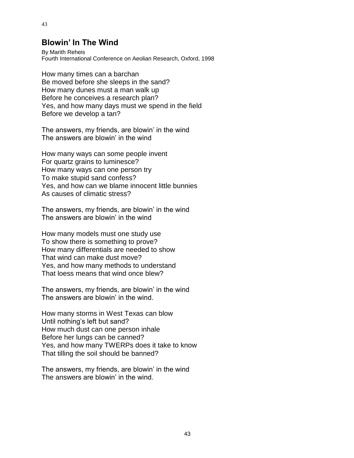## **Blowin' In The Wind**

By Marith Reheis Fourth International Conference on Aeolian Research, Oxford, 1998

How many times can a barchan Be moved before she sleeps in the sand? How many dunes must a man walk up Before he conceives a research plan? Yes, and how many days must we spend in the field Before we develop a tan?

The answers, my friends, are blowin' in the wind The answers are blowin' in the wind

How many ways can some people invent For quartz grains to luminesce? How many ways can one person try To make stupid sand confess? Yes, and how can we blame innocent little bunnies As causes of climatic stress?

The answers, my friends, are blowin' in the wind The answers are blowin' in the wind

How many models must one study use To show there is something to prove? How many differentials are needed to show That wind can make dust move? Yes, and how many methods to understand That loess means that wind once blew?

The answers, my friends, are blowin' in the wind The answers are blowin' in the wind.

How many storms in West Texas can blow Until nothing's left but sand? How much dust can one person inhale Before her lungs can be canned? Yes, and how many TWERPs does it take to know That tilling the soil should be banned?

The answers, my friends, are blowin' in the wind The answers are blowin' in the wind.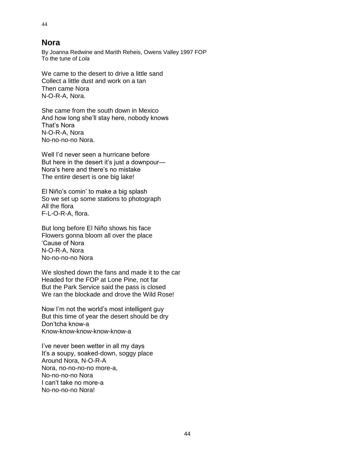### **Nora**

By Joanna Redwine and Marith Reheis, Owens Valley 1997 FOP To the tune of *Lola*

We came to the desert to drive a little sand Collect a little dust and work on a tan Then came Nora N-O-R-A, Nora.

She came from the south down in Mexico And how long she'll stay here, nobody knows That's Nora N-O-R-A, Nora No-no-no-no Nora.

Well I'd never seen a hurricane before But here in the desert it's just a downpour— Nora's here and there's no mistake The entire desert is one big lake!

El Niño's comin' to make a big splash So we set up some stations to photograph All the flora F-L-O-R-A, flora.

But long before El Niño shows his face Flowers gonna bloom all over the place 'Cause of Nora N-O-R-A, Nora No-no-no-no Nora

We sloshed down the fans and made it to the car Headed for the FOP at Lone Pine, not far But the Park Service said the pass is closed We ran the blockade and drove the Wild Rose!

Now I'm not the world's most intelligent guy But this time of year the desert should be dry Don'tcha know-a Know-know-know-know-know-a

I've never been wetter in all my days It's a soupy, soaked-down, soggy place Around Nora, N-O-R-A Nora, no-no-no-no more-a, No-no-no-no Nora I can't take no more-a No-no-no-no Nora!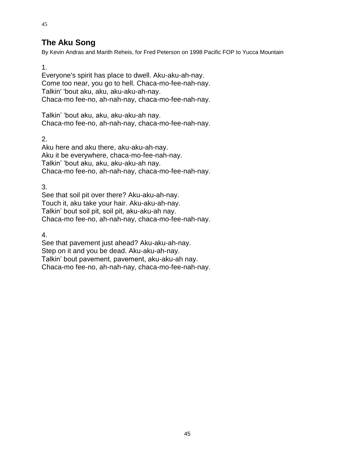# **The Aku Song**

By Kevin Andras and Marith Reheis, for Fred Peterson on 1998 Pacific FOP to Yucca Mountain

1.

45

Everyone's spirit has place to dwell. Aku-aku-ah-nay. Come too near, you go to hell. Chaca-mo-fee-nah-nay. Talkin' 'bout aku, aku, aku-aku-ah-nay. Chaca-mo fee-no, ah-nah-nay, chaca-mo-fee-nah-nay.

Talkin' 'bout aku, aku, aku-aku-ah nay. Chaca-mo fee-no, ah-nah-nay, chaca-mo-fee-nah-nay.

2.

Aku here and aku there, aku-aku-ah-nay. Aku it be everywhere, chaca-mo-fee-nah-nay. Talkin' 'bout aku, aku, aku-aku-ah nay. Chaca-mo fee-no, ah-nah-nay, chaca-mo-fee-nah-nay.

3.

See that soil pit over there? Aku-aku-ah-nay. Touch it, aku take your hair. Aku-aku-ah-nay. Talkin' bout soil pit, soil pit, aku-aku-ah nay. Chaca-mo fee-no, ah-nah-nay, chaca-mo-fee-nah-nay.

4.

See that pavement just ahead? Aku-aku-ah-nay. Step on it and you be dead. Aku-aku-ah-nay. Talkin' bout pavement, pavement, aku-aku-ah nay. Chaca-mo fee-no, ah-nah-nay, chaca-mo-fee-nah-nay.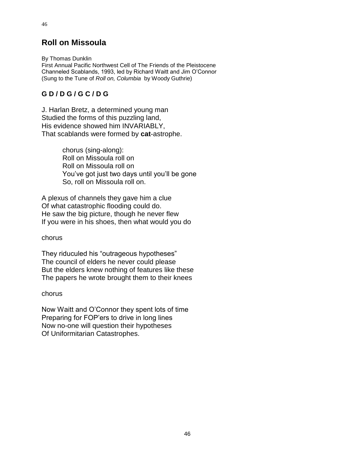# **Roll on Missoula**

By Thomas Dunklin First Annual Pacific Northwest Cell of The Friends of the Pleistocene Channeled Scablands, 1993, led by Richard Waitt and Jim O'Connor (Sung to the Tune of *Roll on, Columbia* by Woody Guthrie)

## **G D / D G / G C / D G**

J. Harlan Bretz, a determined young man Studied the forms of this puzzling land, His evidence showed him INVARIABLY, That scablands were formed by **cat**-astrophe.

> chorus (sing-along): Roll on Missoula roll on Roll on Missoula roll on You've got just two days until you'll be gone So, roll on Missoula roll on.

A plexus of channels they gave him a clue Of what catastrophic flooding could do. He saw the big picture, though he never flew If you were in his shoes, then what would you do

#### chorus

They riduculed his "outrageous hypotheses" The council of elders he never could please But the elders knew nothing of features like these The papers he wrote brought them to their knees

#### chorus

Now Waitt and O'Connor they spent lots of time Preparing for FOP'ers to drive in long lines Now no-one will question their hypotheses Of Uniformitarian Catastrophes.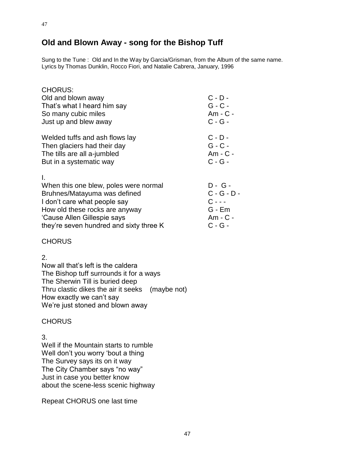# **Old and Blown Away - song for the Bishop Tuff**

Sung to the Tune : Old and In the Way by Garcia/Grisman, from the Album of the same name. Lyrics by Thomas Dunklin, Rocco Fiori, and Natalie Cabrera, January, 1996

| <b>CHORUS:</b><br>Old and blown away<br>That's what I heard him say<br>So many cubic miles<br>Just up and blew away                                                                                                     | $C - D -$<br>$G - C -$<br>Am - C -<br>$C - G -$                            |
|-------------------------------------------------------------------------------------------------------------------------------------------------------------------------------------------------------------------------|----------------------------------------------------------------------------|
| Welded tuffs and ash flows lay<br>Then glaciers had their day<br>The tills are all a-jumbled<br>But in a systematic way                                                                                                 | $C - D -$<br>$G - C -$<br>Am - C -<br>$C - G -$                            |
| Ι.<br>When this one blew, poles were normal<br>Bruhnes/Matayuma was defined<br>I don't care what people say<br>How old these rocks are anyway<br>'Cause Allen Gillespie says<br>they're seven hundred and sixty three K | D - G -<br>$C - G - D -$<br>$C - - -$<br>$G - Em$<br>Am - C -<br>$C - G -$ |

#### **CHORUS**

#### 2.

Now all that's left is the caldera The Bishop tuff surrounds it for a ways The Sherwin Till is buried deep Thru clastic dikes the air it seeks (maybe not) How exactly we can't say We're just stoned and blown away

#### **CHORUS**

3.

Well if the Mountain starts to rumble Well don't you worry 'bout a thing The Survey says its on it way The City Chamber says "no way" Just in case you better know about the scene-less scenic highway

Repeat CHORUS one last time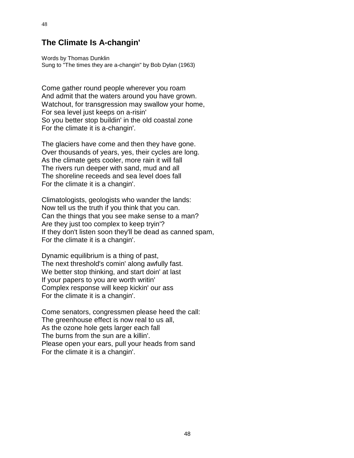## **The Climate Is A-changin'**

Words by Thomas Dunklin Sung to "The times they are a-changin" by Bob Dylan (1963)

Come gather round people wherever you roam And admit that the waters around you have grown. Watchout, for transgression may swallow your home, For sea level just keeps on a-risin' So you better stop buildin' in the old coastal zone For the climate it is a-changin'.

The glaciers have come and then they have gone. Over thousands of years, yes, their cycles are long. As the climate gets cooler, more rain it will fall The rivers run deeper with sand, mud and all The shoreline receeds and sea level does fall For the climate it is a changin'.

Climatologists, geologists who wander the lands: Now tell us the truth if you think that you can. Can the things that you see make sense to a man? Are they just too complex to keep tryin'? If they don't listen soon they'll be dead as canned spam, For the climate it is a changin'.

Dynamic equilibrium is a thing of past, The next threshold's comin' along awfully fast. We better stop thinking, and start doin' at last If your papers to you are worth writin' Complex response will keep kickin' our ass For the climate it is a changin'.

Come senators, congressmen please heed the call: The greenhouse effect is now real to us all, As the ozone hole gets larger each fall The burns from the sun are a killin'. Please open your ears, pull your heads from sand For the climate it is a changin'.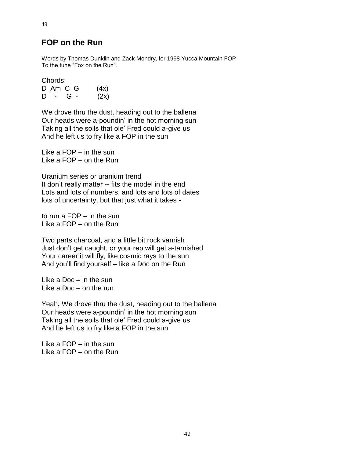### **FOP on the Run**

Words by Thomas Dunklin and Zack Mondry, for 1998 Yucca Mountain FOP To the tune "Fox on the Run".

Chords:

49

D Am C G  $(4x)$  $D - G - (2x)$ 

We drove thru the dust, heading out to the ballena Our heads were a-poundin' in the hot morning sun Taking all the soils that ole' Fred could a-give us And he left us to fry like a FOP in the sun

Like a FOP – in the sun Like a FOP – on the Run

Uranium series or uranium trend It don't really matter -- fits the model in the end Lots and lots of numbers, and lots and lots of dates lots of uncertainty, but that just what it takes -

to run a FOP – in the sun Like a FOP – on the Run

Two parts charcoal, and a little bit rock varnish Just don't get caught, or your rep will get a-tarnished Your career it will fly, like cosmic rays to the sun And you'll find yourself – like a Doc on the Run

Like a Doc – in the sun Like a Doc – on the run

Yeah**,** We drove thru the dust, heading out to the ballena Our heads were a-poundin' in the hot morning sun Taking all the soils that ole' Fred could a-give us And he left us to fry like a FOP in the sun

Like a FOP – in the sun Like a FOP – on the Run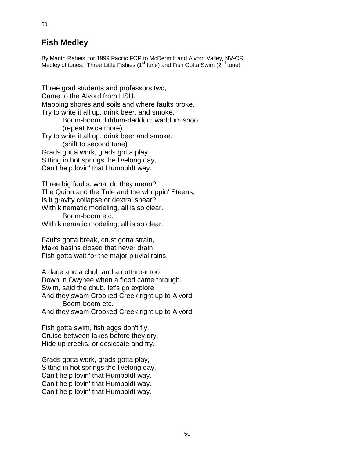# **Fish Medley**

50

By Marith Reheis, for 1999 Pacific FOP to McDermitt and Alvord Valley, NV-OR Medley of tunes: Three Little Fishies ( $1<sup>st</sup>$  tune) and Fish Gotta Swim ( $2<sup>nd</sup>$  tune)

Three grad students and professors two, Came to the Alvord from HSU, Mapping shores and soils and where faults broke, Try to write it all up, drink beer, and smoke. Boom-boom diddum-daddum waddum shoo, (repeat twice more) Try to write it all up, drink beer and smoke. (shift to second tune) Grads gotta work, grads gotta play, Sitting in hot springs the livelong day, Can't help lovin' that Humboldt way.

Three big faults, what do they mean? The Quinn and the Tule and the whoppin' Steens, Is it gravity collapse or dextral shear? With kinematic modeling, all is so clear. Boom-boom etc. With kinematic modeling, all is so clear.

Faults gotta break, crust gotta strain, Make basins closed that never drain, Fish gotta wait for the major pluvial rains.

A dace and a chub and a cutthroat too, Down in Owyhee when a flood came through, Swim, said the chub, let's go explore And they swam Crooked Creek right up to Alvord. Boom-boom etc. And they swam Crooked Creek right up to Alvord.

Fish gotta swim, fish eggs don't fly, Cruise between lakes before they dry, Hide up creeks, or desiccate and fry.

Grads gotta work, grads gotta play, Sitting in hot springs the livelong day, Can't help lovin' that Humboldt way. Can't help lovin' that Humboldt way. Can't help lovin' that Humboldt way.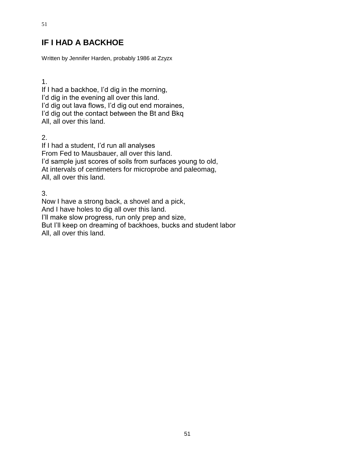# **IF I HAD A BACKHOE**

Written by Jennifer Harden, probably 1986 at Zzyzx

1.

51

If I had a backhoe, I'd dig in the morning, I'd dig in the evening all over this land. I'd dig out lava flows, I'd dig out end moraines, I'd dig out the contact between the Bt and Bkq All, all over this land.

2.

If I had a student, I'd run all analyses From Fed to Mausbauer, all over this land. I'd sample just scores of soils from surfaces young to old, At intervals of centimeters for microprobe and paleomag, All, all over this land.

3.

Now I have a strong back, a shovel and a pick, And I have holes to dig all over this land. I'll make slow progress, run only prep and size, But I'll keep on dreaming of backhoes, bucks and student labor All, all over this land.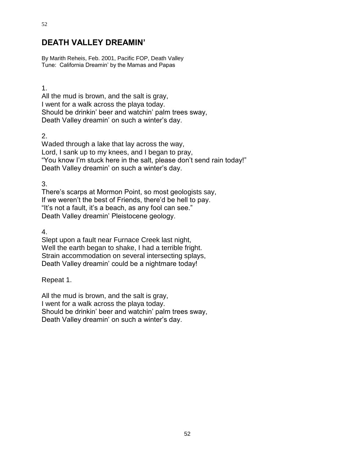# **DEATH VALLEY DREAMIN'**

By Marith Reheis, Feb. 2001, Pacific FOP, Death Valley Tune: California Dreamin' by the Mamas and Papas

1.

All the mud is brown, and the salt is gray, I went for a walk across the playa today. Should be drinkin' beer and watchin' palm trees sway, Death Valley dreamin' on such a winter's day.

2.

Waded through a lake that lay across the way, Lord, I sank up to my knees, and I began to pray, "You know I'm stuck here in the salt, please don't send rain today!" Death Valley dreamin' on such a winter's day.

3.

There's scarps at Mormon Point, so most geologists say, If we weren't the best of Friends, there'd be hell to pay. "It's not a fault, it's a beach, as any fool can see." Death Valley dreamin' Pleistocene geology.

4.

Slept upon a fault near Furnace Creek last night, Well the earth began to shake, I had a terrible fright. Strain accommodation on several intersecting splays, Death Valley dreamin' could be a nightmare today!

Repeat 1.

All the mud is brown, and the salt is gray, I went for a walk across the playa today. Should be drinkin' beer and watchin' palm trees sway, Death Valley dreamin' on such a winter's day.

52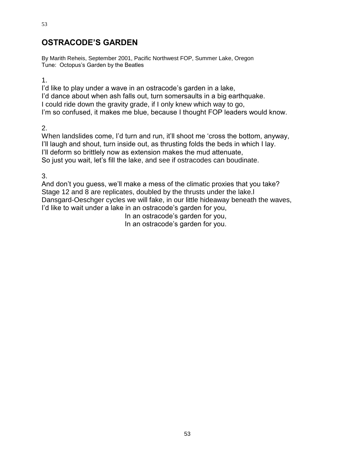# **OSTRACODE'S GARDEN**

By Marith Reheis, September 2001, Pacific Northwest FOP, Summer Lake, Oregon Tune: Octopus's Garden by the Beatles

1.

I'd like to play under a wave in an ostracode's garden in a lake, I'd dance about when ash falls out, turn somersaults in a big earthquake. I could ride down the gravity grade, if I only knew which way to go, I'm so confused, it makes me blue, because I thought FOP leaders would know.

2.

When landslides come, I'd turn and run, it'll shoot me 'cross the bottom, anyway, I'll laugh and shout, turn inside out, as thrusting folds the beds in which I lay. I'll deform so brittlely now as extension makes the mud attenuate, So just you wait, let's fill the lake, and see if ostracodes can boudinate.

3.

And don't you guess, we'll make a mess of the climatic proxies that you take? Stage 12 and 8 are replicates, doubled by the thrusts under the lake.l Dansgard-Oeschger cycles we will fake, in our little hideaway beneath the waves, I'd like to wait under a lake in an ostracode's garden for you,

In an ostracode's garden for you,

In an ostracode's garden for you.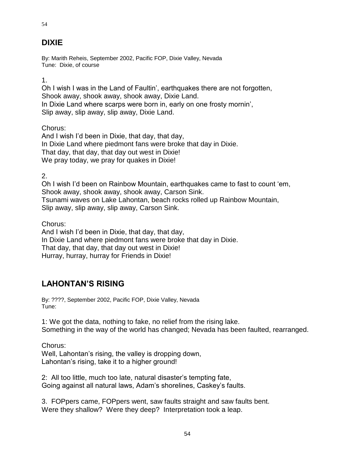# **DIXIE**

54

By: Marith Reheis, September 2002, Pacific FOP, Dixie Valley, Nevada Tune: Dixie, of course

1.

Oh I wish I was in the Land of Faultin', earthquakes there are not forgotten, Shook away, shook away, shook away, Dixie Land. In Dixie Land where scarps were born in, early on one frosty mornin', Slip away, slip away, slip away, Dixie Land.

Chorus:

And I wish I'd been in Dixie, that day, that day, In Dixie Land where piedmont fans were broke that day in Dixie. That day, that day, that day out west in Dixie! We pray today, we pray for quakes in Dixie!

2.

Oh I wish I'd been on Rainbow Mountain, earthquakes came to fast to count 'em, Shook away, shook away, shook away, Carson Sink. Tsunami waves on Lake Lahontan, beach rocks rolled up Rainbow Mountain, Slip away, slip away, slip away, Carson Sink.

Chorus:

And I wish I'd been in Dixie, that day, that day, In Dixie Land where piedmont fans were broke that day in Dixie. That day, that day, that day out west in Dixie! Hurray, hurray, hurray for Friends in Dixie!

# **LAHONTAN'S RISING**

By: ????, September 2002, Pacific FOP, Dixie Valley, Nevada Tune:

1: We got the data, nothing to fake, no relief from the rising lake. Something in the way of the world has changed; Nevada has been faulted, rearranged.

Chorus: Well, Lahontan's rising, the valley is dropping down, Lahontan's rising, take it to a higher ground!

2: All too little, much too late, natural disaster's tempting fate, Going against all natural laws, Adam's shorelines, Caskey's faults.

3. FOPpers came, FOPpers went, saw faults straight and saw faults bent. Were they shallow? Were they deep? Interpretation took a leap.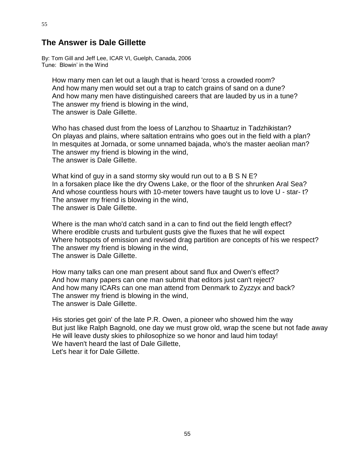### **The Answer is Dale Gillette**

By: Tom Gill and Jeff Lee, ICAR VI, Guelph, Canada, 2006 Tune: Blowin' in the Wind

How many men can let out a laugh that is heard 'cross a crowded room? And how many men would set out a trap to catch grains of sand on a dune? And how many men have distinguished careers that are lauded by us in a tune? The answer my friend is blowing in the wind, The answer is Dale Gillette.

Who has chased dust from the loess of Lanzhou to Shaartuz in Tadzhikistan? On playas and plains, where saltation entrains who goes out in the field with a plan? In mesquites at Jornada, or some unnamed bajada, who's the master aeolian man? The answer my friend is blowing in the wind, The answer is Dale Gillette.

What kind of guy in a sand stormy sky would run out to a B S N E? In a forsaken place like the dry Owens Lake, or the floor of the shrunken Aral Sea? And whose countless hours with 10-meter towers have taught us to love U - star- t? The answer my friend is blowing in the wind, The answer is Dale Gillette.

Where is the man who'd catch sand in a can to find out the field length effect? Where erodible crusts and turbulent gusts give the fluxes that he will expect Where hotspots of emission and revised drag partition are concepts of his we respect? The answer my friend is blowing in the wind, The answer is Dale Gillette.

How many talks can one man present about sand flux and Owen's effect? And how many papers can one man submit that editors just can't reject? And how many ICARs can one man attend from Denmark to Zyzzyx and back? The answer my friend is blowing in the wind, The answer is Dale Gillette.

His stories get goin' of the late P.R. Owen, a pioneer who showed him the way But just like Ralph Bagnold, one day we must grow old, wrap the scene but not fade away He will leave dusty skies to philosophize so we honor and laud him today! We haven't heard the last of Dale Gillette, Let's hear it for Dale Gillette.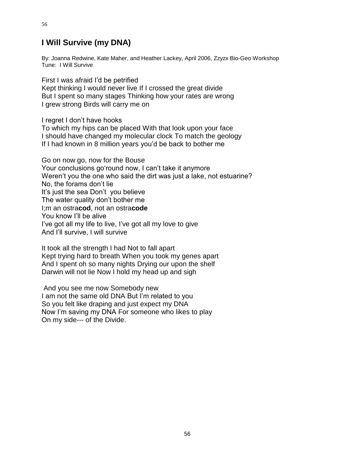# **I Will Survive (my DNA)**

By: Joanna Redwine, Kate Maher, and Heather Lackey, April 2006, Zzyzx Bio-Geo Workshop Tune: I Will Survive

First I was afraid I'd be petrified Kept thinking I would never live If I crossed the great divide But I spent so many stages Thinking how your rates are wrong I grew strong Birds will carry me on

I regret I don't have hooks

To which my hips can be placed With that look upon your face I should have changed my molecular clock To match the geology If I had known in 8 million years you'd be back to bother me

Go on now go, now for the Bouse Your conclusions go'round now, I can't take it anymore Weren't you the one who said the dirt was just a lake, not estuarine? No, the forams don't lie It's just the sea Don't you believe The water quality don't bother me I;m an ostra**cod**, not an ostra**code** You know I'll be alive I've got all my life to live, I've got all my love to give And I'll survive, I will survive

It took all the strength I had Not to fall apart Kept trying hard to breath When you took my genes apart And I spent oh so many nights Drying our upon the shelf Darwin will not lie Now I hold my head up and sigh

And you see me now Somebody new I am not the same old DNA But I'm related to you So you felt like draping and just expect my DNA Now I'm saving my DNA For someone who likes to play On my side--- of the Divide.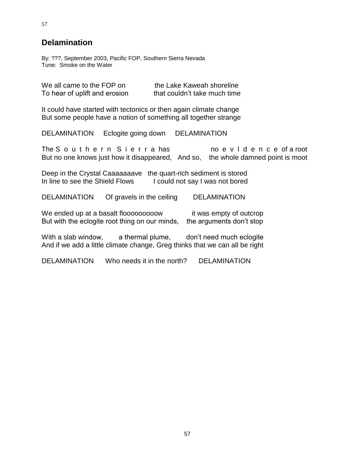# **Delamination**

By: ???, September 2003, Pacific FOP, Southern Sierra Nevada Tune: Smoke on the Water

| We all came to the FOP on     | the Lake Kaweah shoreline    |
|-------------------------------|------------------------------|
| To hear of uplift and erosion | that couldn't take much time |

It could have started with tectonics or then again climate change But some people have a notion of something all together strange

DELAMINATION Eclogite going down DELAMINATION

The Southern Sierrahas no evidence of a root But no one knows just how it disappeared, And so, the whole damned point is moot

Deep in the Crystal Caaaaaaave the quart-rich sediment is stored In line to see the Shield Flows I could not say I was not bored

DELAMINATION Of gravels in the ceiling DELAMINATION

We ended up at a basalt flooooooooow it was empty of outcrop But with the eclogite root thing on our minds, the arguments don't stop

With a slab window, a thermal plume, don't need much eclogite And if we add a little climate change, Greg thinks that we can all be right

DELAMINATION Who needs it in the north? DELAMINATION

57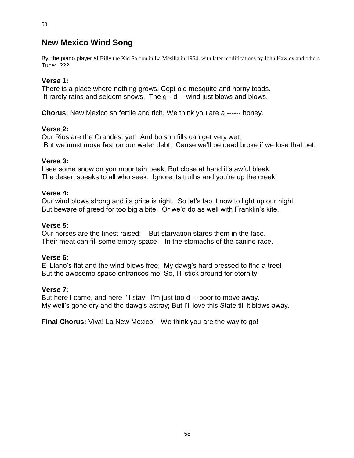# **New Mexico Wind Song**

By: the piano player at Billy the Kid Saloon in La Mesilla in 1964, with later modifications by John Hawley and others Tune: ???

#### **Verse 1:**

There is a place where nothing grows, Cept old mesquite and horny toads. It rarely rains and seldom snows, The g-- d--- wind just blows and blows.

**Chorus:** New Mexico so fertile and rich, We think you are a ------ honey.

#### **Verse 2:**

Our Rios are the Grandest yet! And bolson fills can get very wet; But we must move fast on our water debt; Cause we'll be dead broke if we lose that bet.

#### **Verse 3:**

I see some snow on yon mountain peak, But close at hand it's awful bleak. The desert speaks to all who seek. Ignore its truths and you're up the creek!

#### **Verse 4:**

Our wind blows strong and its price is right, So let's tap it now to light up our night. But beware of greed for too big a bite; Or we'd do as well with Franklin's kite.

#### **Verse 5:**

Our horses are the finest raised; But starvation stares them in the face. Their meat can fill some empty space In the stomachs of the canine race.

#### **Verse 6:**

El Llano's flat and the wind blows free; My dawg's hard pressed to find a tree! But the awesome space entrances me; So, I'll stick around for eternity.

#### **Verse 7:**

But here I came, and here I'll stay. I'm just too d--- poor to move away. My well's gone dry and the dawg's astray; But I'll love this State till it blows away.

**Final Chorus:** Viva! La New Mexico! We think you are the way to go!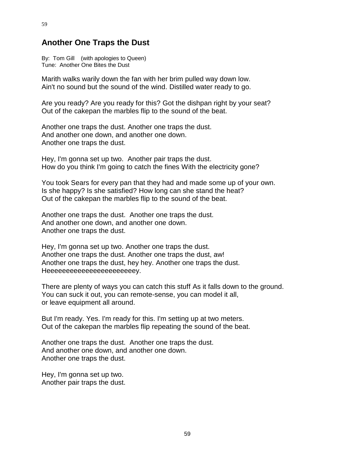### **Another One Traps the Dust**

By: Tom Gill (with apologies to Queen) Tune: Another One Bites the Dust

Marith walks warily down the fan with her brim pulled way down low. Ain't no sound but the sound of the wind. Distilled water ready to go.

Are you ready? Are you ready for this? Got the dishpan right by your seat? Out of the cakepan the marbles flip to the sound of the beat.

Another one traps the dust. Another one traps the dust. And another one down, and another one down. Another one traps the dust.

Hey, I'm gonna set up two. Another pair traps the dust. How do you think I'm going to catch the fines With the electricity gone?

You took Sears for every pan that they had and made some up of your own. Is she happy? Is she satisfied? How long can she stand the heat? Out of the cakepan the marbles flip to the sound of the beat.

Another one traps the dust. Another one traps the dust. And another one down, and another one down. Another one traps the dust.

Hey, I'm gonna set up two. Another one traps the dust. Another one traps the dust. Another one traps the dust, aw! Another one traps the dust, hey hey. Another one traps the dust. Heeeeeeeeeeeeeeeeeeeeeeey.

There are plenty of ways you can catch this stuff As it falls down to the ground. You can suck it out, you can remote-sense, you can model it all, or leave equipment all around.

But I'm ready. Yes. I'm ready for this. I'm setting up at two meters. Out of the cakepan the marbles flip repeating the sound of the beat.

Another one traps the dust. Another one traps the dust. And another one down, and another one down. Another one traps the dust.

Hey, I'm gonna set up two. Another pair traps the dust.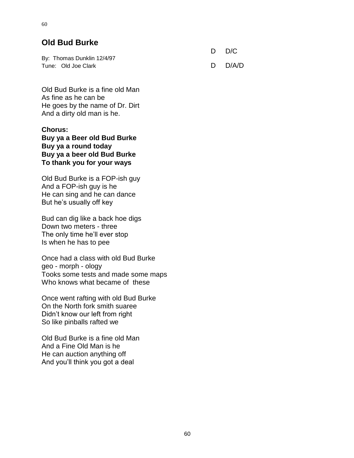# **Old Bud Burke**

|                            | D D/C   |
|----------------------------|---------|
| By: Thomas Dunklin 12/4/97 |         |
| Tune: Old Joe Clark        | D D/A/D |

Old Bud Burke is a fine old Man As fine as he can be He goes by the name of Dr. Dirt And a dirty old man is he.

**Chorus: Buy ya a Beer old Bud Burke Buy ya a round today Buy ya a beer old Bud Burke To thank you for your ways**

Old Bud Burke is a FOP-ish guy And a FOP-ish guy is he He can sing and he can dance But he's usually off key

Bud can dig like a back hoe digs Down two meters - three The only time he'll ever stop Is when he has to pee

Once had a class with old Bud Burke geo - morph - ology Tooks some tests and made some maps Who knows what became of these

Once went rafting with old Bud Burke On the North fork smith suaree Didn't know our left from right So like pinballs rafted we

Old Bud Burke is a fine old Man And a Fine Old Man is he He can auction anything off And you'll think you got a deal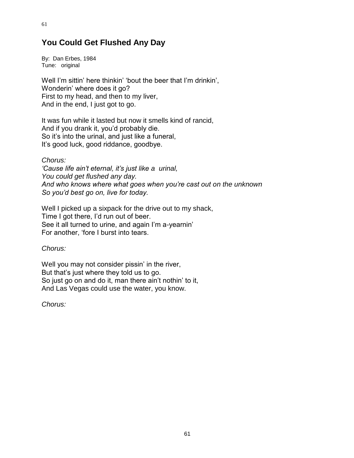# **You Could Get Flushed Any Day**

By: Dan Erbes, 1984 Tune: original

Well I'm sittin' here thinkin' 'bout the beer that I'm drinkin', Wonderin' where does it go? First to my head, and then to my liver, And in the end, I just got to go.

It was fun while it lasted but now it smells kind of rancid, And if you drank it, you'd probably die. So it's into the urinal, and just like a funeral, It's good luck, good riddance, goodbye.

*Chorus:*

*'Cause life ain't eternal, it's just like a urinal, You could get flushed any day. And who knows where what goes when you're cast out on the unknown So you'd best go on, live for today.*

Well I picked up a sixpack for the drive out to my shack, Time I got there, I'd run out of beer. See it all turned to urine, and again I'm a-yearnin' For another, 'fore I burst into tears.

*Chorus:*

Well you may not consider pissin' in the river, But that's just where they told us to go. So just go on and do it, man there ain't nothin' to it, And Las Vegas could use the water, you know.

*Chorus:*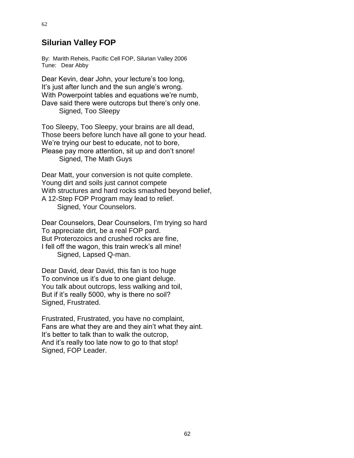## **Silurian Valley FOP**

By: Marith Reheis, Pacific Cell FOP, Silurian Valley 2006 Tune: Dear Abby

Dear Kevin, dear John, your lecture's too long, It's just after lunch and the sun angle's wrong. With Powerpoint tables and equations we're numb, Dave said there were outcrops but there's only one. Signed, Too Sleepy

Too Sleepy, Too Sleepy, your brains are all dead, Those beers before lunch have all gone to your head. We're trying our best to educate, not to bore, Please pay more attention, sit up and don't snore! Signed, The Math Guys

Dear Matt, your conversion is not quite complete. Young dirt and soils just cannot compete With structures and hard rocks smashed beyond belief, A 12-Step FOP Program may lead to relief. Signed, Your Counselors.

Dear Counselors, Dear Counselors, I'm trying so hard To appreciate dirt, be a real FOP pard. But Proterozoics and crushed rocks are fine, I fell off the wagon, this train wreck's all mine! Signed, Lapsed Q-man.

Dear David, dear David, this fan is too huge To convince us it's due to one giant deluge. You talk about outcrops, less walking and toil, But if it's really 5000, why is there no soil? Signed, Frustrated.

Frustrated, Frustrated, you have no complaint, Fans are what they are and they ain't what they aint. It's better to talk than to walk the outcrop, And it's really too late now to go to that stop! Signed, FOP Leader.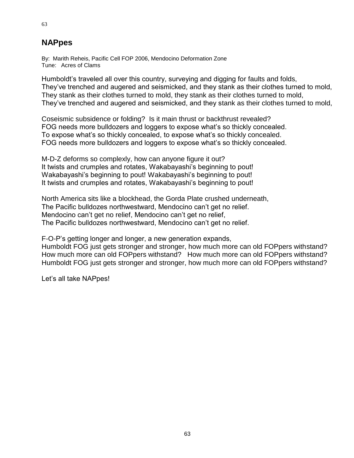# **NAPpes**

By: Marith Reheis, Pacific Cell FOP 2006, Mendocino Deformation Zone Tune: Acres of Clams

Humboldt's traveled all over this country, surveying and digging for faults and folds, They've trenched and augered and seismicked, and they stank as their clothes turned to mold, They stank as their clothes turned to mold, they stank as their clothes turned to mold, They've trenched and augered and seismicked, and they stank as their clothes turned to mold,

Coseismic subsidence or folding? Is it main thrust or backthrust revealed? FOG needs more bulldozers and loggers to expose what's so thickly concealed. To expose what's so thickly concealed, to expose what's so thickly concealed. FOG needs more bulldozers and loggers to expose what's so thickly concealed.

M-D-Z deforms so complexly, how can anyone figure it out? It twists and crumples and rotates, Wakabayashi's beginning to pout! Wakabayashi's beginning to pout! Wakabayashi's beginning to pout! It twists and crumples and rotates, Wakabayashi's beginning to pout!

North America sits like a blockhead, the Gorda Plate crushed underneath, The Pacific bulldozes northwestward, Mendocino can't get no relief. Mendocino can't get no relief, Mendocino can't get no relief, The Pacific bulldozes northwestward, Mendocino can't get no relief.

F-O-P's getting longer and longer, a new generation expands,

Humboldt FOG just gets stronger and stronger, how much more can old FOPpers withstand? How much more can old FOPpers withstand? How much more can old FOPpers withstand? Humboldt FOG just gets stronger and stronger, how much more can old FOPpers withstand?

Let's all take NAPpes!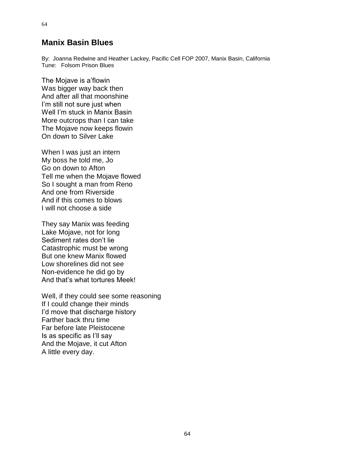### **Manix Basin Blues**

By: Joanna Redwine and Heather Lackey, Pacific Cell FOP 2007, Manix Basin, California Tune: Folsom Prison Blues

The Mojave is a'flowin Was bigger way back then And after all that moonshine I'm still not sure just when Well I'm stuck in Manix Basin More outcrops than I can take The Mojave now keeps flowin On down to Silver Lake

When I was just an intern My boss he told me, Jo Go on down to Afton Tell me when the Mojave flowed So I sought a man from Reno And one from Riverside And if this comes to blows I will not choose a side

They say Manix was feeding Lake Mojave, not for long Sediment rates don't lie Catastrophic must be wrong But one knew Manix flowed Low shorelines did not see Non-evidence he did go by And that's what tortures Meek!

Well, if they could see some reasoning If I could change their minds I'd move that discharge history Farther back thru time Far before late Pleistocene Is as specific as I'll say And the Mojave, it cut Afton A little every day.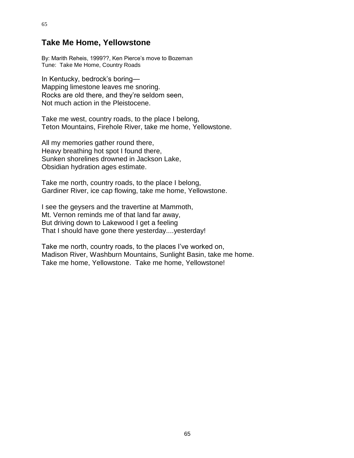### **Take Me Home, Yellowstone**

65

By: Marith Reheis, 1999??, Ken Pierce's move to Bozeman Tune: Take Me Home, Country Roads

In Kentucky, bedrock's boring— Mapping limestone leaves me snoring. Rocks are old there, and they're seldom seen, Not much action in the Pleistocene.

Take me west, country roads, to the place I belong, Teton Mountains, Firehole River, take me home, Yellowstone.

All my memories gather round there, Heavy breathing hot spot I found there, Sunken shorelines drowned in Jackson Lake, Obsidian hydration ages estimate.

Take me north, country roads, to the place I belong, Gardiner River, ice cap flowing, take me home, Yellowstone.

I see the geysers and the travertine at Mammoth, Mt. Vernon reminds me of that land far away, But driving down to Lakewood I get a feeling That I should have gone there yesterday....yesterday!

Take me north, country roads, to the places I've worked on, Madison River, Washburn Mountains, Sunlight Basin, take me home. Take me home, Yellowstone. Take me home, Yellowstone!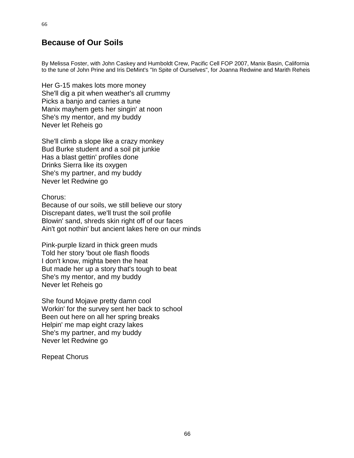## **Because of Our Soils**

By Melissa Foster, with John Caskey and Humboldt Crew, Pacific Cell FOP 2007, Manix Basin, California to the tune of John Prine and Iris DeMint's "In Spite of Ourselves", for Joanna Redwine and Marith Reheis

Her G-15 makes lots more money She'll dig a pit when weather's all crummy Picks a banjo and carries a tune Manix mayhem gets her singin' at noon She's my mentor, and my buddy Never let Reheis go

She'll climb a slope like a crazy monkey Bud Burke student and a soil pit junkie Has a blast gettin' profiles done Drinks Sierra like its oxygen She's my partner, and my buddy Never let Redwine go

Chorus:

Because of our soils, we still believe our story Discrepant dates, we'll trust the soil profile Blowin' sand, shreds skin right off of our faces Ain't got nothin' but ancient lakes here on our minds

Pink-purple lizard in thick green muds Told her story 'bout ole flash floods I don't know, mighta been the heat But made her up a story that's tough to beat She's my mentor, and my buddy Never let Reheis go

She found Mojave pretty damn cool Workin' for the survey sent her back to school Been out here on all her spring breaks Helpin' me map eight crazy lakes She's my partner, and my buddy Never let Redwine go

Repeat Chorus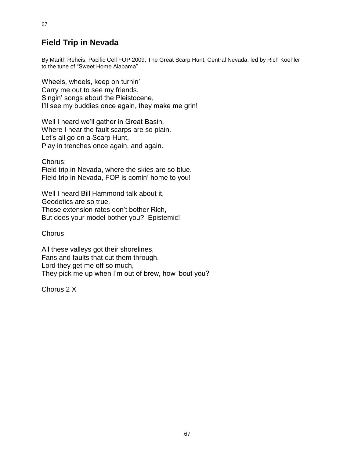# **Field Trip in Nevada**

By Marith Reheis, Pacific Cell FOP 2009, The Great Scarp Hunt, Central Nevada, led by Rich Koehler to the tune of "Sweet Home Alabama"

Wheels, wheels, keep on turnin' Carry me out to see my friends. Singin' songs about the Pleistocene, I'll see my buddies once again, they make me grin!

Well I heard we'll gather in Great Basin, Where I hear the fault scarps are so plain. Let's all go on a Scarp Hunt, Play in trenches once again, and again.

Chorus:

Field trip in Nevada, where the skies are so blue. Field trip in Nevada, FOP is comin' home to you!

Well I heard Bill Hammond talk about it, Geodetics are so true. Those extension rates don't bother Rich, But does your model bother you? Epistemic!

**Chorus** 

All these valleys got their shorelines, Fans and faults that cut them through. Lord they get me off so much, They pick me up when I'm out of brew, how 'bout you?

Chorus 2 X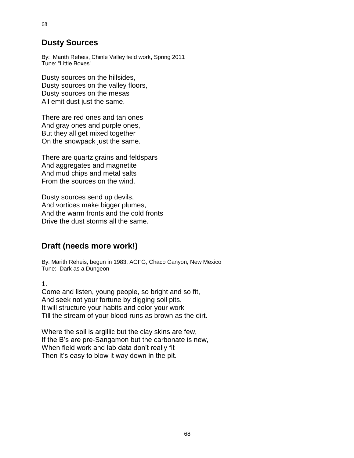#### **Dusty Sources**

By: Marith Reheis, Chinle Valley field work, Spring 2011 Tune: "Little Boxes"

Dusty sources on the hillsides, Dusty sources on the valley floors, Dusty sources on the mesas All emit dust just the same.

There are red ones and tan ones And gray ones and purple ones, But they all get mixed together On the snowpack just the same.

There are quartz grains and feldspars And aggregates and magnetite And mud chips and metal salts From the sources on the wind.

Dusty sources send up devils, And vortices make bigger plumes, And the warm fronts and the cold fronts Drive the dust storms all the same.

### **Draft (needs more work!)**

By: Marith Reheis, begun in 1983, AGFG, Chaco Canyon, New Mexico Tune: Dark as a Dungeon

1.

Come and listen, young people, so bright and so fit, And seek not your fortune by digging soil pits. It will structure your habits and color your work Till the stream of your blood runs as brown as the dirt.

Where the soil is argillic but the clay skins are few, If the B's are pre-Sangamon but the carbonate is new, When field work and lab data don't really fit Then it's easy to blow it way down in the pit.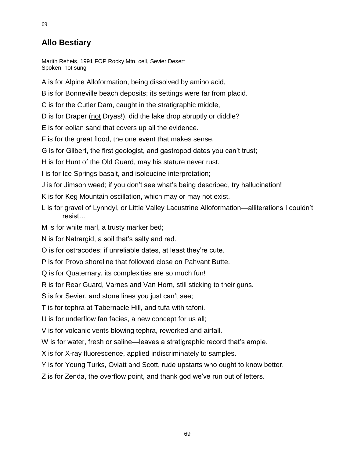## **Allo Bestiary**

Marith Reheis, 1991 FOP Rocky Mtn. cell, Sevier Desert Spoken, not sung

A is for Alpine Alloformation, being dissolved by amino acid,

B is for Bonneville beach deposits; its settings were far from placid.

C is for the Cutler Dam, caught in the stratigraphic middle,

D is for Draper (not Dryas!), did the lake drop abruptly or diddle?

E is for eolian sand that covers up all the evidence.

F is for the great flood, the one event that makes sense.

G is for Gilbert, the first geologist, and gastropod dates you can't trust;

H is for Hunt of the Old Guard, may his stature never rust.

I is for Ice Springs basalt, and isoleucine interpretation;

- J is for Jimson weed; if you don't see what's being described, try hallucination!
- K is for Keg Mountain oscillation, which may or may not exist.
- L is for gravel of Lynndyl, or Little Valley Lacustrine Alloformation—alliterations I couldn't resist…
- M is for white marl, a trusty marker bed;
- N is for Natrargid, a soil that's salty and red.

O is for ostracodes; if unreliable dates, at least they're cute.

P is for Provo shoreline that followed close on Pahvant Butte.

Q is for Quaternary, its complexities are so much fun!

R is for Rear Guard, Varnes and Van Horn, still sticking to their guns.

S is for Sevier, and stone lines you just can't see;

T is for tephra at Tabernacle Hill, and tufa with tafoni.

U is for underflow fan facies, a new concept for us all;

V is for volcanic vents blowing tephra, reworked and airfall.

W is for water, fresh or saline—leaves a stratigraphic record that's ample.

X is for X-ray fluorescence, applied indiscriminately to samples.

Y is for Young Turks, Oviatt and Scott, rude upstarts who ought to know better.

Z is for Zenda, the overflow point, and thank god we've run out of letters.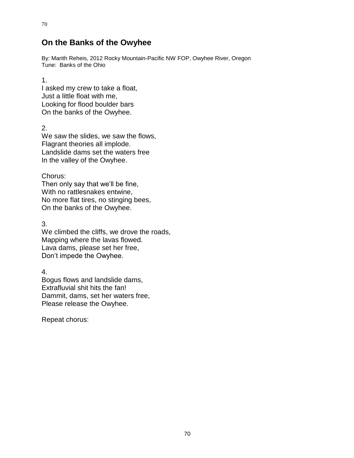### **On the Banks of the Owyhee**

By: Marith Reheis, 2012 Rocky Mountain-Pacific NW FOP, Owyhee River, Oregon Tune: Banks of the Ohio

1.

70

I asked my crew to take a float, Just a little float with me, Looking for flood boulder bars On the banks of the Owyhee.

2.

We saw the slides, we saw the flows, Flagrant theories all implode. Landslide dams set the waters free In the valley of the Owyhee.

Chorus:

Then only say that we'll be fine, With no rattlesnakes entwine, No more flat tires, no stinging bees, On the banks of the Owyhee.

3.

We climbed the cliffs, we drove the roads, Mapping where the lavas flowed. Lava dams, please set her free, Don't impede the Owyhee.

4.

Bogus flows and landslide dams, Extrafluvial shit hits the fan! Dammit, dams, set her waters free, Please release the Owyhee.

Repeat chorus: